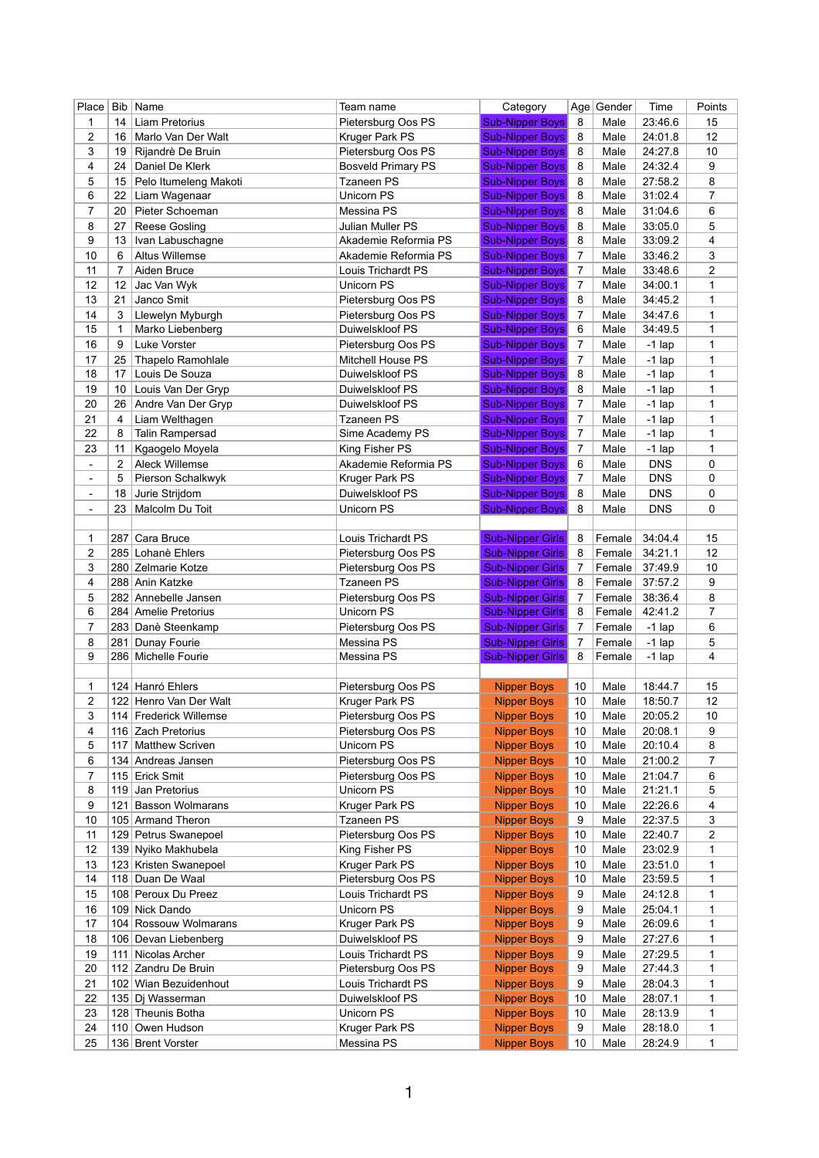| Place                        | <b>Bib</b> | Name                                  | Team name                             | Category                |                | Age Gender | Time           | Points         |
|------------------------------|------------|---------------------------------------|---------------------------------------|-------------------------|----------------|------------|----------------|----------------|
| 1                            | 14         | <b>Liam Pretorius</b>                 | Pietersburg Oos PS                    | <b>Sub-Nipper Boys</b>  | 8              | Male       | 23:46.6        | 15             |
| 2                            | 16         | Marlo Van Der Walt                    | Kruger Park PS                        | <b>Sub-Nipper Boys</b>  | 8              | Male       | 24:01.8        | 12             |
| 3                            | 19         | Rijandrè De Bruin                     | Pietersburg Oos PS                    | <b>Sub-Nipper Boys</b>  | 8              | Male       | 24:27.8        | 10             |
| 4                            | 24         | Daniel De Klerk                       | <b>Bosveld Primary PS</b>             | <b>Sub-Nipper Boys</b>  | 8              | Male       | 24:32.4        | 9              |
| 5                            | 15         | Pelo Itumeleng Makoti                 | <b>Tzaneen PS</b>                     | <b>Sub-Nipper Boys</b>  | 8              | Male       | 27:58.2        | 8              |
| 6                            | 22         | Liam Wagenaar                         | Unicorn PS                            | <b>Sub-Nipper Boys</b>  | 8              | Male       | 31:02.4        | $\overline{7}$ |
| 7                            | 20         | Pieter Schoeman                       | Messina PS                            | <b>Sub-Nipper Boys</b>  | 8              | Male       | 31:04.6        | 6              |
| 8                            | 27         | <b>Reese Gosling</b>                  | <b>Julian Muller PS</b>               | <b>Sub-Nipper Boys</b>  | 8              | Male       | 33:05.0        | 5              |
| 9                            | 13         | Ivan Labuschagne                      | Akademie Reformia PS                  | <b>Sub-Nipper Boys</b>  | 8              | Male       | 33:09.2        | 4              |
| 10                           | 6          | <b>Altus Willemse</b>                 | Akademie Reformia PS                  | <b>Sub-Nipper Boys</b>  | 7              | Male       | 33:46.2        | 3              |
| 11                           | 7          | Aiden Bruce                           | Louis Trichardt PS                    | <b>Sub-Nipper Boys</b>  | $\overline{7}$ | Male       | 33:48.6        | 2              |
| 12                           | 12         | Jac Van Wyk                           | Unicorn PS                            | <b>Sub-Nipper Boys</b>  | $\overline{7}$ | Male       | 34:00.1        | 1              |
| 13                           | 21         | Janco Smit                            | Pietersburg Oos PS                    | <b>Sub-Nipper Boys</b>  | 8              | Male       | 34:45.2        | 1              |
|                              |            |                                       |                                       |                         |                |            |                |                |
| 14                           | 3          | Llewelyn Myburgh                      | Pietersburg Oos PS<br>Duiwelskloof PS | <b>Sub-Nipper Boys</b>  | $\overline{7}$ | Male       | 34:47.6        | 1              |
| 15                           | 1          | Marko Liebenberg                      |                                       | <b>Sub-Nipper Boys</b>  | 6              | Male       | 34:49.5        | 1              |
| 16                           | 9          | Luke Vorster                          | Pietersburg Oos PS                    | <b>Sub-Nipper Boys</b>  | $\overline{7}$ | Male       | $-1$ lap       | 1              |
| 17                           | 25         | <b>Thapelo Ramohlale</b>              | <b>Mitchell House PS</b>              | <b>Sub-Nipper Boys</b>  | $\overline{7}$ | Male       | $-1$ lap       | 1              |
| 18                           | 17         | Louis De Souza                        | Duiwelskloof PS                       | <b>Sub-Nipper Boys</b>  | 8              | Male       | $-1$ lap       | 1              |
| 19                           | 10         | Louis Van Der Gryp                    | Duiwelskloof PS                       | <b>Sub-Nipper Boys</b>  | 8              | Male       | $-1$ lap       | 1              |
| 20                           | 26         | Andre Van Der Gryp                    | Duiwelskloof PS                       | <b>Sub-Nipper Boys</b>  | 7              | Male       | $-1$ lap       | 1              |
| 21                           | 4          | Liam Welthagen                        | <b>Tzaneen PS</b>                     | <b>Sub-Nipper Boys</b>  | 7              | Male       | $-1$ lap       | 1              |
| 22                           | 8          | Talin Rampersad                       | Sime Academy PS                       | <b>Sub-Nipper Boys</b>  | 7              | Male       | $-1$ lap       | 1              |
| 23                           | 11         | Kgaogelo Moyela                       | King Fisher PS                        | <b>Sub-Nipper Boys</b>  | $\overline{7}$ | Male       | $-1$ lap       | 1              |
| $\blacksquare$               | 2          | <b>Aleck Willemse</b>                 | Akademie Reformia PS                  | <b>Sub-Nipper Boys</b>  | 6              | Male       | <b>DNS</b>     | 0              |
| $\qquad \qquad \blacksquare$ | 5          | Pierson Schalkwyk                     | Kruger Park PS                        | <b>Sub-Nipper Boys</b>  | 7              | Male       | <b>DNS</b>     | 0              |
| $\blacksquare$               | 18         | Jurie Strijdom                        | Duiwelskloof PS                       | <b>Sub-Nipper Boys</b>  | 8              | Male       | <b>DNS</b>     | 0              |
| $\blacksquare$               | 23         | Malcolm Du Toit                       | Unicorn PS                            | <b>Sub-Nipper Boys</b>  | 8              | Male       | <b>DNS</b>     | $\mathbf 0$    |
|                              |            |                                       |                                       |                         |                |            |                |                |
| 1                            | 287        | Cara Bruce                            | Louis Trichardt PS                    | <b>Sub-Nipper Girls</b> | 8              | Female     | 34:04.4        | 15             |
| 2                            |            | 285 Lohanè Ehlers                     | Pietersburg Oos PS                    | <b>Sub-Nipper Girls</b> | 8              | Female     | 34:21.1        | 12             |
| 3                            |            | 280 Zelmarie Kotze                    | Pietersburg Oos PS                    | <b>Sub-Nipper Girls</b> | 7              | Female     | 37:49.9        | 10             |
| 4                            |            | 288 Anin Katzke                       | <b>Tzaneen PS</b>                     | <b>Sub-Nipper Girls</b> | 8              |            | Female 37:57.2 | 9              |
| 5                            |            | 282 Annebelle Jansen                  | Pietersburg Oos PS                    | Sub-Nipper Girls        | $\overline{7}$ | Female     | 38:36.4        | 8              |
| 6                            |            | 284 Amelie Pretorius                  | Unicorn PS                            | Sub-Nipper Girls        | 8              | Female     | 42:41.2        | 7              |
|                              |            |                                       |                                       |                         |                |            |                |                |
| 7                            |            | 283 Danè Steenkamp                    | Pietersburg Oos PS                    | <b>Sub-Nipper Girls</b> | $\overline{7}$ | Female     | $-1$ lap       | 6              |
| 8                            | 281        | Dunay Fourie                          | Messina PS                            | <b>Sub-Nipper Girls</b> | 7              | Female     | $-1$ lap       | 5              |
| 9                            |            | 286 Michelle Fourie                   | Messina PS                            | <b>Sub-Nipper Girls</b> | 8              | Female     | $-1$ lap       | 4              |
|                              |            |                                       |                                       |                         |                |            |                |                |
| 1                            |            | 124 Hanró Ehlers                      | Pietersburg Oos PS                    | <b>Nipper Boys</b>      | 10             | Male       | 18:44.7        | 15             |
| 2                            |            | 122 Henro Van Der Walt                | Kruger Park PS                        | <b>Nipper Boys</b>      | 10             | Male       | 18:50.7        | 12             |
| 3                            |            | 114 Frederick Willemse                | Pietersburg Oos PS                    | <b>Nipper Boys</b>      | 10             | Male       | 20:05.2        | 10             |
| 4                            |            | 116 Zach Pretorius                    | Pietersburg Oos PS                    | <b>Nipper Boys</b>      | 10             | Male       | 20:08.1        | 9              |
| 5                            | 117        | <b>Matthew Scriven</b>                | Unicorn PS                            | <b>Nipper Boys</b>      | 10             | Male       | 20:10.4        | 8              |
| 6                            |            | 134 Andreas Jansen                    | Pietersburg Oos PS                    | <b>Nipper Boys</b>      | 10             | Male       | 21:00.2        | $\overline{7}$ |
| 7                            |            | 115 Erick Smit                        | Pietersburg Oos PS                    | <b>Nipper Boys</b>      | 10             | Male       | 21:04.7        | 6              |
| 8                            |            | 119 Jan Pretorius                     | Unicorn PS                            | <b>Nipper Boys</b>      | 10             | Male       | 21:21.1        | 5              |
| 9                            |            | 121 Basson Wolmarans                  | Kruger Park PS                        | <b>Nipper Boys</b>      | 10             | Male       | 22:26.6        | 4              |
| 10                           |            | 105 Armand Theron                     | <b>Tzaneen PS</b>                     | <b>Nipper Boys</b>      | 9              | Male       | 22:37.5        | 3              |
| 11                           |            | 129 Petrus Swanepoel                  | Pietersburg Oos PS                    | <b>Nipper Boys</b>      | 10             | Male       | 22:40.7        | $\overline{c}$ |
| 12                           |            | 139 Nyiko Makhubela                   | King Fisher PS                        | <b>Nipper Boys</b>      | 10             | Male       | 23:02.9        | 1              |
| 13                           |            | 123 Kristen Swanepoel                 | Kruger Park PS                        | <b>Nipper Boys</b>      | 10             | Male       | 23:51.0        | 1              |
| 14                           |            | 118 Duan De Waal                      | Pietersburg Oos PS                    | <b>Nipper Boys</b>      | 10             | Male       | 23:59.5        | 1              |
| 15                           |            | 108 Peroux Du Preez                   | Louis Trichardt PS                    | <b>Nipper Boys</b>      | 9              | Male       | 24:12.8        | 1              |
| 16                           |            | 109 Nick Dando                        | <b>Unicorn PS</b>                     | <b>Nipper Boys</b>      | 9              | Male       | 25:04.1        | 1              |
| 17                           |            | 104 Rossouw Wolmarans                 | Kruger Park PS                        | <b>Nipper Boys</b>      | 9              | Male       | 26:09.6        | 1              |
| 18                           |            | 106 Devan Liebenberg                  | Duiwelskloof PS                       | <b>Nipper Boys</b>      | 9              | Male       | 27:27.6        | 1              |
| 19                           | 111        | Nicolas Archer                        | Louis Trichardt PS                    | <b>Nipper Boys</b>      | 9              | Male       | 27:29.5        | 1              |
| 20                           |            | 112 Zandru De Bruin                   | Pietersburg Oos PS                    | <b>Nipper Boys</b>      | 9              | Male       | 27:44.3        | 1              |
| 21                           |            | 102 Wian Bezuidenhout                 | Louis Trichardt PS                    |                         | 9              | Male       | 28:04.3        | 1              |
|                              |            |                                       |                                       | <b>Nipper Boys</b>      |                |            |                |                |
| 22                           |            | 135 Dj Wasserman<br>128 Theunis Botha | Duiwelskloof PS                       | <b>Nipper Boys</b>      | 10             | Male       | 28:07.1        | 1              |
| 23                           |            |                                       | Unicorn PS                            | <b>Nipper Boys</b>      | 10             | Male       | 28:13.9        | 1              |
| 24                           |            | 110 Owen Hudson                       | Kruger Park PS                        | <b>Nipper Boys</b>      | 9              | Male       | 28:18.0        | 1              |
| 25                           |            | 136 Brent Vorster                     | Messina PS                            | <b>Nipper Boys</b>      | 10             | Male       | 28:24.9        | 1              |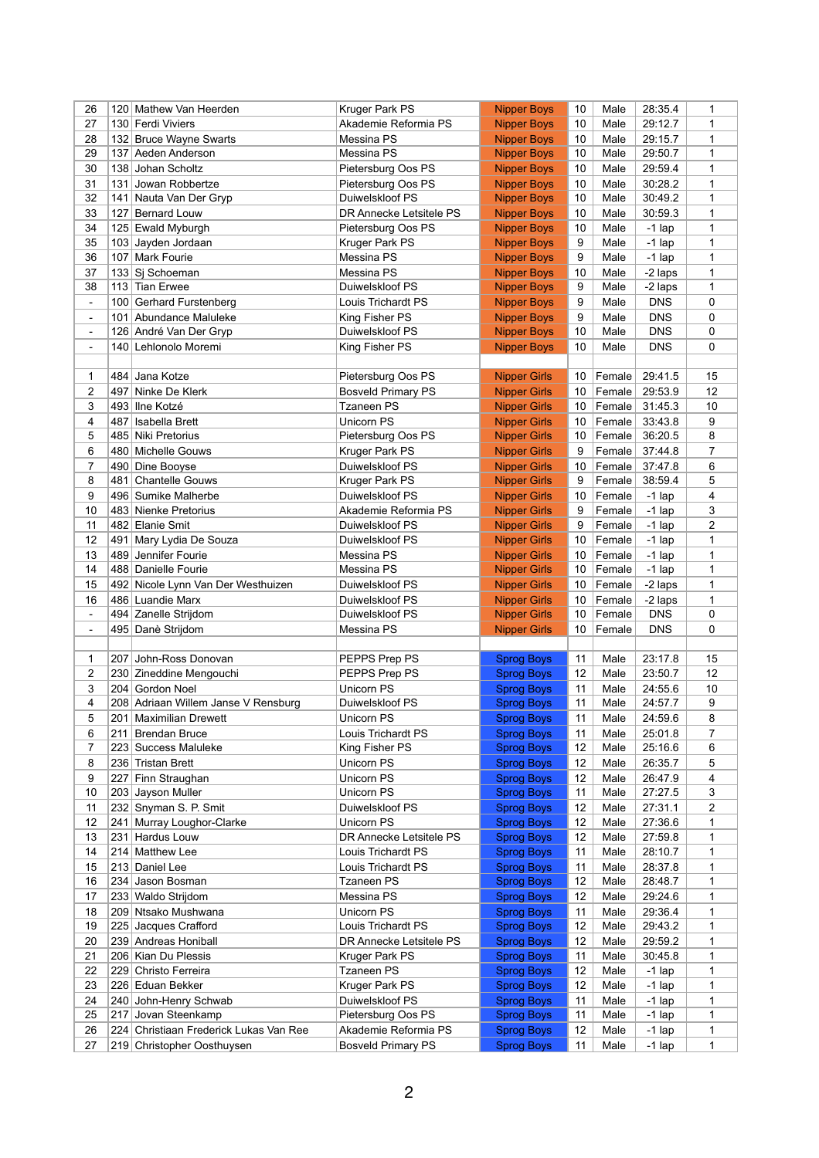| 26             |     | 120 Mathew Van Heerden                                               | Kruger Park PS                                    | <b>Nipper Boys</b>                     | 10              | Male            | 28:35.4              | 1              |
|----------------|-----|----------------------------------------------------------------------|---------------------------------------------------|----------------------------------------|-----------------|-----------------|----------------------|----------------|
| 27             |     | 130 Ferdi Viviers                                                    | Akademie Reformia PS                              | <b>Nipper Boys</b>                     | 10              | Male            | 29:12.7              | 1              |
| 28             |     | 132 Bruce Wayne Swarts                                               | Messina PS                                        | <b>Nipper Boys</b>                     | 10              | Male            | 29:15.7              | 1              |
| 29             | 137 | Aeden Anderson                                                       | Messina PS                                        | <b>Nipper Boys</b>                     | 10              | Male            | 29:50.7              | 1              |
| 30             |     | 138 Johan Scholtz                                                    | Pietersburg Oos PS                                | <b>Nipper Boys</b>                     | 10              | Male            | 29:59.4              | 1              |
| 31             |     | 131 Jowan Robbertze                                                  | Pietersburg Oos PS                                | <b>Nipper Boys</b>                     | 10              | Male            | 30:28.2              | 1              |
| 32             | 141 | Nauta Van Der Gryp                                                   | Duiwelskloof PS                                   | <b>Nipper Boys</b>                     | 10              | Male            | 30:49.2              | 1              |
| 33             | 127 | <b>Bernard Louw</b>                                                  | DR Annecke Letsitele PS                           | <b>Nipper Boys</b>                     | 10              | Male            | 30:59.3              | 1              |
| 34             |     | 125 Ewald Myburgh                                                    | Pietersburg Oos PS                                | <b>Nipper Boys</b>                     | 10              | Male            | $-1$ lap             | 1              |
| 35             |     |                                                                      | Kruger Park PS                                    | <b>Nipper Boys</b>                     | 9               | Male            | $-1$ lap             | 1              |
|                |     | 103 Jayden Jordaan                                                   |                                                   |                                        |                 |                 |                      |                |
| 36             | 107 | Mark Fourie                                                          | Messina PS                                        | <b>Nipper Boys</b>                     | 9               | Male            | $-1$ lap             | 1              |
| 37             |     | 133 Si Schoeman                                                      | Messina PS                                        | <b>Nipper Boys</b>                     | 10              | Male            | -2 laps              | 1              |
| 38             |     | 113 Tian Erwee                                                       | Duiwelskloof PS                                   | <b>Nipper Boys</b>                     | 9               | Male            | -2 laps              | 1              |
| $\blacksquare$ |     | 100 Gerhard Furstenberg                                              | Louis Trichardt PS                                | <b>Nipper Boys</b>                     | 9               | Male            | <b>DNS</b>           | 0              |
| $\blacksquare$ |     | 101 Abundance Maluleke                                               | King Fisher PS                                    | <b>Nipper Boys</b>                     | 9               | Male            | <b>DNS</b>           | 0              |
| $\blacksquare$ |     | 126 André Van Der Gryp                                               | Duiwelskloof PS                                   | <b>Nipper Boys</b>                     | 10              | Male            | <b>DNS</b>           | 0              |
| $\blacksquare$ |     | 140 Lehlonolo Moremi                                                 | King Fisher PS                                    | <b>Nipper Boys</b>                     | 10              | Male            | <b>DNS</b>           | 0              |
|                |     |                                                                      |                                                   |                                        |                 |                 |                      |                |
| 1              |     | 484 Jana Kotze                                                       | Pietersburg Oos PS                                | <b>Nipper Girls</b>                    | 10              | Female          | 29:41.5              | 15             |
| 2              | 497 | Ninke De Klerk                                                       | <b>Bosveld Primary PS</b>                         | <b>Nipper Girls</b>                    | 10              | Female          | 29:53.9              | 12             |
| 3              |     | 493 Ilne Kotzé                                                       | <b>Tzaneen PS</b>                                 | <b>Nipper Girls</b>                    | 10              | Female          | 31:45.3              | 10             |
| 4              | 487 | Isabella Brett                                                       | Unicorn PS                                        | <b>Nipper Girls</b>                    | 10              | Female          | 33:43.8              | 9              |
| 5              |     | 485 Niki Pretorius                                                   | Pietersburg Oos PS                                | <b>Nipper Girls</b>                    | 10              | Female          | 36:20.5              | 8              |
| 6              |     | 480 Michelle Gouws                                                   | Kruger Park PS                                    | <b>Nipper Girls</b>                    | 9               | Female          | 37:44.8              | $\overline{7}$ |
|                |     |                                                                      |                                                   |                                        |                 |                 |                      |                |
| 7              |     | 490 Dine Booyse                                                      | Duiwelskloof PS                                   | <b>Nipper Girls</b>                    | 10              | Female          | 37:47.8              | 6              |
| 8              | 481 | <b>Chantelle Gouws</b>                                               | Kruger Park PS                                    | <b>Nipper Girls</b>                    | 9               | Female          | 38:59.4              | 5              |
| 9              |     | 496 Sumike Malherbe                                                  | Duiwelskloof PS                                   | <b>Nipper Girls</b>                    | 10              | Female          | $-1$ lap             | 4              |
| 10             |     | 483 Nienke Pretorius                                                 | Akademie Reformia PS                              | <b>Nipper Girls</b>                    | 9               | Female          | $-1$ lap             | 3              |
| 11             |     | 482 Elanie Smit                                                      | Duiwelskloof PS                                   | <b>Nipper Girls</b>                    | 9               | Female          | $-1$ lap             | $\overline{2}$ |
| 12             | 491 | Mary Lydia De Souza                                                  | Duiwelskloof PS                                   | <b>Nipper Girls</b>                    | 10              | Female          | $-1$ lap             | 1              |
| 13             |     | 489 Jennifer Fourie                                                  | Messina PS                                        | <b>Nipper Girls</b>                    | 10              | Female          | $-1$ lap             | 1              |
| 14             |     | 488 Danielle Fourie                                                  | Messina PS                                        | <b>Nipper Girls</b>                    | 10              | Female          | $-1$ lap             | 1              |
|                |     |                                                                      |                                                   |                                        |                 |                 |                      |                |
| 15             |     | 492 Nicole Lynn Van Der Westhuizen                                   | Duiwelskloof PS                                   | <b>Nipper Girls</b>                    | 10 <sup>°</sup> | $ $ Female $ $  | -2 laps              | 1              |
| 16             |     | 486 Luandie Marx                                                     | Duiwelskloof PS                                   | <b>Nipper Girls</b>                    |                 | 10   Female $ $ | -2 laps              | 1              |
| $\blacksquare$ |     | 494 Zanelle Strijdom                                                 | Duiwelskloof PS                                   |                                        | 10              | Female          | <b>DNS</b>           | 0              |
| $\blacksquare$ |     |                                                                      | Messina PS                                        | <b>Nipper Girls</b>                    | 10 <sup>°</sup> | Female          | <b>DNS</b>           | 0              |
|                |     | 495 Danè Strijdom                                                    |                                                   | <b>Nipper Girls</b>                    |                 |                 |                      |                |
|                |     |                                                                      |                                                   |                                        |                 |                 |                      |                |
| 1              |     | 207 John-Ross Donovan                                                | PEPPS Prep PS                                     | <b>Sprog Boys</b>                      | 11              | Male            | 23:17.8              | 15             |
| 2              |     | 230 Zineddine Mengouchi                                              | PEPPS Prep PS                                     | <b>Sprog Boys</b>                      | 12              | Male            | 23:50.7              | 12             |
| 3              |     | 204 Gordon Noel                                                      | <b>Unicorn PS</b>                                 | <b>Sprog Boys</b>                      | 11              | Male            | 24:55.6              | 10             |
| 4              |     | 208 Adriaan Willem Janse V Rensburg                                  | Duiwelskloof PS                                   | <b>Sprog Boys</b>                      | 11              | Male            | 24:57.7              | 9              |
| 5              |     | 201 Maximilian Drewett                                               | <b>Unicorn PS</b>                                 | <b>Sprog Boys</b>                      | 11              | Male            | 24:59.6              | $\bf 8$        |
| 6              | 211 | <b>Brendan Bruce</b>                                                 | Louis Trichardt PS                                | <b>Sprog Boys</b>                      | 11              | Male            | 25:01.8              | 7              |
| 7              |     | 223 Success Maluleke                                                 | King Fisher PS                                    | <b>Sprog Boys</b>                      | 12              | Male            | 25:16.6              | 6              |
| 8              |     | 236 Tristan Brett                                                    | Unicorn PS                                        | <b>Sprog Boys</b>                      | 12              | Male            | 26:35.7              | 5              |
| 9              | 227 | Finn Straughan                                                       | Unicorn PS                                        | <b>Sprog Boys</b>                      | 12              | Male            | 26:47.9              | 4              |
| 10             |     | 203 Jayson Muller                                                    | Unicorn PS                                        | <b>Sprog Boys</b>                      | 11              | Male            | 27:27.5              | 3              |
| 11             |     | 232 Snyman S. P. Smit                                                | Duiwelskloof PS                                   | <b>Sprog Boys</b>                      | 12              | Male            | 27:31.1              | $\overline{c}$ |
| 12             |     | 241 Murray Loughor-Clarke                                            | <b>Unicorn PS</b>                                 | <b>Sprog Boys</b>                      | 12              | Male            | 27:36.6              | 1              |
| 13             |     | 231 Hardus Louw                                                      | DR Annecke Letsitele PS                           | <b>Sprog Boys</b>                      | 12              | Male            | 27:59.8              | 1              |
| 14             |     | 214 Matthew Lee                                                      | Louis Trichardt PS                                | <b>Sprog Boys</b>                      | 11              | Male            | 28:10.7              | 1              |
| 15             |     | 213 Daniel Lee                                                       | Louis Trichardt PS                                | <b>Sprog Boys</b>                      | 11              | Male            | 28:37.8              | 1              |
| 16             |     | 234 Jason Bosman                                                     | <b>Tzaneen PS</b>                                 | <b>Sprog Boys</b>                      | 12              | Male            | 28:48.7              | 1              |
| 17             |     | 233 Waldo Strijdom                                                   | Messina PS                                        | <b>Sprog Boys</b>                      | 12              | Male            | 29:24.6              | 1              |
|                |     |                                                                      |                                                   |                                        | 11              |                 |                      | 1              |
| 18             |     | 209 Ntsako Mushwana                                                  | Unicorn PS                                        | <b>Sprog Boys</b>                      |                 | Male            | 29:36.4              |                |
| 19             |     | 225 Jacques Crafford                                                 | Louis Trichardt PS                                | <b>Sprog Boys</b>                      | 12              | Male            | 29:43.2              | 1              |
| 20             |     | 239 Andreas Honiball                                                 | DR Annecke Letsitele PS                           | <b>Sprog Boys</b>                      | 12              | Male            | 29:59.2              | 1              |
| 21             |     | 206 Kian Du Plessis                                                  | Kruger Park PS                                    | <b>Sprog Boys</b>                      | 11              | Male            | 30:45.8              | 1              |
| 22             |     | 229 Christo Ferreira                                                 | <b>Tzaneen PS</b>                                 | <b>Sprog Boys</b>                      | 12              | Male            | $-1$ lap             | 1              |
| 23             |     | 226 Eduan Bekker                                                     | Kruger Park PS                                    | <b>Sprog Boys</b>                      | 12              | Male            | $-1$ lap             | 1              |
| 24             |     | 240 John-Henry Schwab                                                | Duiwelskloof PS                                   | <b>Sprog Boys</b>                      | 11              | Male            | $-1$ lap             | 1              |
| 25             | 217 | Jovan Steenkamp                                                      | Pietersburg Oos PS                                | <b>Sprog Boys</b>                      | 11              | Male            | $-1$ lap             | 1              |
| 26<br>27       |     | 224 Christiaan Frederick Lukas Van Ree<br>219 Christopher Oosthuysen | Akademie Reformia PS<br><b>Bosveld Primary PS</b> | <b>Sprog Boys</b><br><b>Sprog Boys</b> | 12<br>11        | Male<br>Male    | $-1$ lap<br>$-1$ lap | 1<br>1         |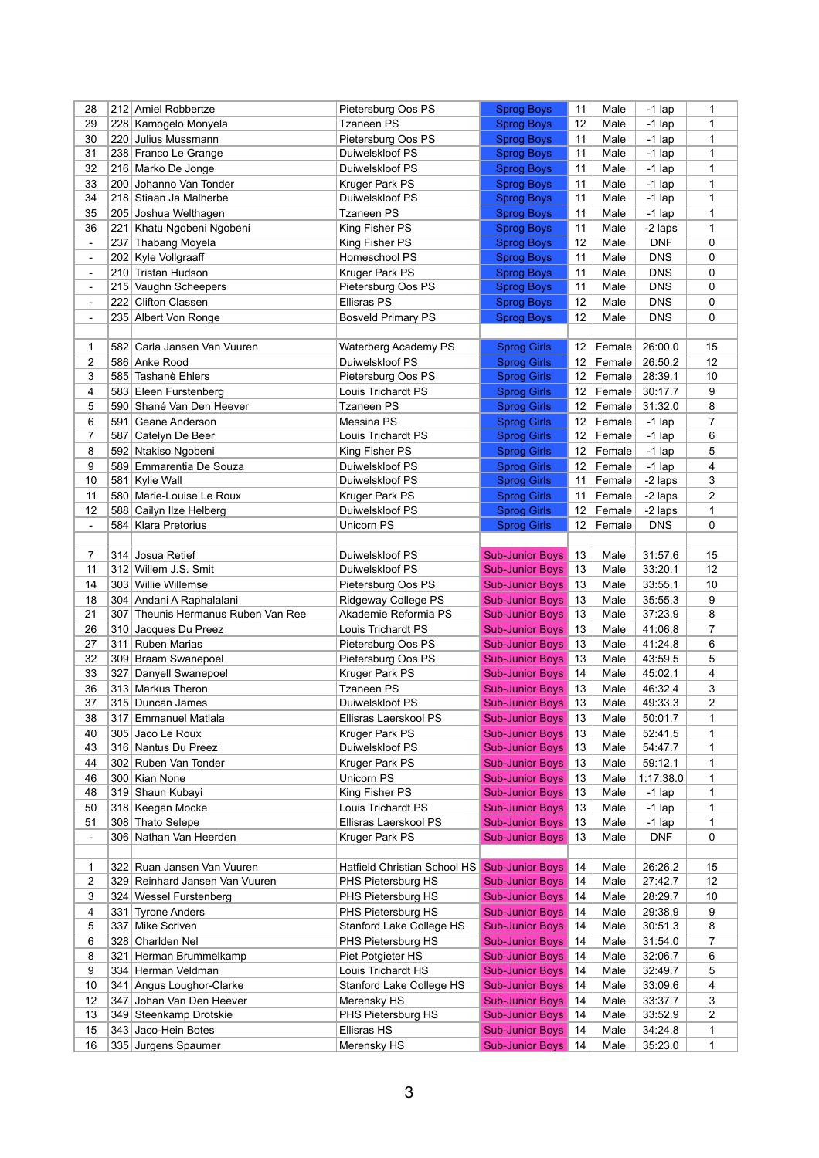| 28                  |     | 212 Amiel Robbertze                       | Pietersburg Oos PS               | <b>Sprog Boys</b>                        | 11       | Male             | $-1$ lap             | 1                       |
|---------------------|-----|-------------------------------------------|----------------------------------|------------------------------------------|----------|------------------|----------------------|-------------------------|
| 29                  |     | 228 Kamogelo Monyela                      | <b>Tzaneen PS</b>                | <b>Sprog Boys</b>                        | 12       | Male             | $-1$ lap             | 1                       |
| 30                  |     | 220 Julius Mussmann                       | Pietersburg Oos PS               | <b>Sprog Boys</b>                        | 11       | Male             | $-1$ lap             | $\mathbf{1}$            |
| 31                  |     | 238 Franco Le Grange                      | Duiwelskloof PS                  | <b>Sprog Boys</b>                        | 11       | Male             | $-1$ lap             | 1                       |
| 32                  |     | 216 Marko De Jonge                        | Duiwelskloof PS                  | <b>Sprog Boys</b>                        | 11       | Male             | $-1$ lap             | 1                       |
| 33                  | 200 | Johanno Van Tonder                        | Kruger Park PS                   | <b>Sprog Boys</b>                        | 11       | Male             | $-1$ lap             | 1                       |
| 34                  |     | 218 Stiaan Ja Malherbe                    | Duiwelskloof PS                  | <b>Sprog Boys</b>                        | 11       | Male             | -1 lap               | $\mathbf{1}$            |
| 35                  |     | 205 Joshua Welthagen                      | <b>Tzaneen PS</b>                | <b>Sprog Boys</b>                        | 11       | Male             | $-1$ lap             | $\mathbf{1}$            |
| 36                  | 221 | Khatu Ngobeni Ngobeni                     | King Fisher PS                   | <b>Sprog Boys</b>                        | 11       | Male             | -2 laps              | 1                       |
| $\blacksquare$      |     | 237 Thabang Moyela                        | King Fisher PS                   | <b>Sprog Boys</b>                        | 12       | Male             | <b>DNF</b>           | 0                       |
| $\blacksquare$      |     | 202 Kyle Vollgraaff                       | Homeschool PS                    | <b>Sprog Boys</b>                        | 11       | Male             | <b>DNS</b>           | 0                       |
| $\blacksquare$      |     | 210 Tristan Hudson                        | Kruger Park PS                   | <b>Sprog Boys</b>                        | 11       | Male             | <b>DNS</b>           | 0                       |
| $\blacksquare$      | 215 | Vaughn Scheepers                          | Pietersburg Oos PS               | <b>Sprog Boys</b>                        | 11       | Male             | <b>DNS</b>           | 0                       |
| $\blacksquare$      |     | 222 Clifton Classen                       | <b>Ellisras PS</b>               | <b>Sprog Boys</b>                        | 12       | Male             | <b>DNS</b>           | 0                       |
| $\blacksquare$      |     | 235 Albert Von Ronge                      | <b>Bosveld Primary PS</b>        | <b>Sprog Boys</b>                        | 12       | Male             | <b>DNS</b>           | 0                       |
|                     |     |                                           |                                  |                                          |          |                  |                      |                         |
| 1                   |     | 582 Carla Jansen Van Vuuren               | <b>Waterberg Academy PS</b>      | <b>Sprog Girls</b>                       | 12       | Female           | 26:00.0              | 15                      |
| 2                   |     | 586 Anke Rood                             | Duiwelskloof PS                  | <b>Sprog Girls</b>                       | 12       | Female           | 26:50.2              | 12                      |
| 3                   |     | 585 Tashanè Ehlers                        | Pietersburg Oos PS               | <b>Sprog Girls</b>                       | 12       | Female           | 28:39.1              | $10$                    |
| 4                   |     | 583 Eleen Furstenberg                     | Louis Trichardt PS               | <b>Sprog Girls</b>                       | 12       | Female           | 30:17.7              | 9                       |
| 5                   |     | 590 Shané Van Den Heever                  | <b>Tzaneen PS</b>                | <b>Sprog Girls</b>                       | 12       | Female           | 31:32.0              | 8                       |
|                     |     |                                           |                                  |                                          |          |                  |                      |                         |
| 6<br>$\overline{7}$ |     | 591 Geane Anderson<br>587 Catelyn De Beer | Messina PS<br>Louis Trichardt PS | <b>Sprog Girls</b><br><b>Sprog Girls</b> | 12<br>12 | Female<br>Female | $-1$ lap<br>$-1$ lap | 7<br>6                  |
|                     |     |                                           |                                  |                                          |          |                  |                      | 5                       |
| 8                   |     | 592 Ntakiso Ngobeni                       | King Fisher PS                   | <b>Sprog Girls</b>                       | 12       | Female           | $-1$ lap             |                         |
| 9                   |     | 589 Emmarentia De Souza                   | Duiwelskloof PS                  | <b>Sprog Girls</b>                       | 12       | Female           | $-1$ lap             | 4                       |
| 10                  | 581 | Kylie Wall                                | Duiwelskloof PS                  | <b>Sprog Girls</b>                       | 11       | Female           | -2 laps              | 3                       |
| 11                  |     | 580 Marie-Louise Le Roux                  | Kruger Park PS                   | <b>Sprog Girls</b>                       | 11       | Female           | -2 laps              | $\overline{\mathbf{c}}$ |
| 12                  |     | 588 Cailyn Ilze Helberg                   | Duiwelskloof PS                  | <b>Sprog Girls</b>                       | 12       | Female           | -2 laps              | 1                       |
| $\blacksquare$      |     | 584 Klara Pretorius                       | Unicorn PS                       | <b>Sprog Girls</b>                       | 12       | Female           | <b>DNS</b>           | 0                       |
|                     |     |                                           |                                  |                                          |          |                  |                      |                         |
| 7                   |     | 314 Josua Retief                          | Duiwelskloof PS                  | <b>Sub-Junior Boys</b>                   | 13       | Male             | 31:57.6              | 15                      |
| 11                  |     | 312 Willem J.S. Smit                      | Duiwelskloof PS                  | <b>Sub-Junior Boys</b>                   | 13       | Male             | 33:20.1              | 12                      |
| 14                  |     | 303 Willie Willemse                       | Pietersburg Oos PS               | <b>Sub-Junior Boys</b>                   | 13       | Male             | 33:55.1              | 10                      |
| 18                  |     | 304 Andani A Raphalalani                  | Ridgeway College PS              | <b>Sub-Junior Boys</b>                   | 13       | Male             | 35:55.3              | 9                       |
| 21                  | 307 | Theunis Hermanus Ruben Van Ree            | Akademie Reformia PS             | <b>Sub-Junior Boys</b>                   | 13       | Male             | 37:23.9              | 8                       |
| 26                  |     | 310 Jacques Du Preez                      | Louis Trichardt PS               | <b>Sub-Junior Boys</b>                   | l 13     | Male             | 41:06.8              | 7                       |
| 27                  | 311 | <b>Ruben Marias</b>                       | Pietersburg Oos PS               | <b>Sub-Junior Boys</b>                   | 13       | Male             | 41:24.8              | 6                       |
| 32                  |     | 309 Braam Swanepoel                       | Pietersburg Oos PS               | <b>Sub-Junior Boys</b>                   | 13       | Male             | 43:59.5              | 5                       |
| 33                  | 327 | Danyell Swanepoel                         | Kruger Park PS                   | <b>Sub-Junior Boys</b>                   | 14       | Male             | 45:02.1              | 4                       |
| 36                  |     | 313 Markus Theron                         | <b>Tzaneen PS</b>                | <b>Sub-Junior Boys</b>                   | 13       | Male             | 46:32.4              | 3                       |
| 37                  |     | 315 Duncan James                          | Duiwelskloof PS                  | <b>Sub-Junior Boys</b>                   | 13       | Male             | 49:33.3              | $\overline{2}$          |
| 38                  |     | 317 Emmanuel Matlala                      | Ellisras Laerskool PS            | <b>Sub-Junior Boys</b>                   | 13       | Male             | 50:01.7              | 1                       |
| 40                  |     | 305 Jaco Le Roux                          | Kruger Park PS                   | <b>Sub-Junior Boys</b>                   | 13       | Male             | 52:41.5              | 1                       |
| 43                  |     | 316 Nantus Du Preez                       | Duiwelskloof PS                  | <b>Sub-Junior Boys</b>                   | 13       | Male             | 54:47.7              | 1                       |
| 44                  |     | 302 Ruben Van Tonder                      | Kruger Park PS                   | <b>Sub-Junior Boys</b>                   | 13       | Male             | 59:12.1              | 1                       |
| 46                  |     | 300 Kian None                             | <b>Unicorn PS</b>                | <b>Sub-Junior Boys</b>                   | 13       | Male             | 1:17:38.0            | 1                       |
| 48                  |     | 319 Shaun Kubayi                          | King Fisher PS                   | <b>Sub-Junior Boys</b>                   | 13       | Male             | $-1$ lap             | 1                       |
| 50                  |     | 318 Keegan Mocke                          | Louis Trichardt PS               | <b>Sub-Junior Boys</b>                   | 13       | Male             | $-1$ lap             | 1                       |
| 51                  |     | 308 Thato Selepe                          | Ellisras Laerskool PS            | <b>Sub-Junior Boys</b>                   | 13       | Male             | $-1$ lap             | 1                       |
| $\blacksquare$      |     | 306 Nathan Van Heerden                    | Kruger Park PS                   | <b>Sub-Junior Boys</b>                   | 13       | Male             | <b>DNF</b>           | 0                       |
|                     |     |                                           |                                  |                                          |          |                  |                      |                         |
| 1                   |     | 322 Ruan Jansen Van Vuuren                | Hatfield Christian School HS     | <b>Sub-Junior Boys</b>                   | 14       | Male             | 26:26.2              | 15                      |
| 2                   |     | 329 Reinhard Jansen Van Vuuren            | PHS Pietersburg HS               | <b>Sub-Junior Boys</b>                   | 14       | Male             | 27:42.7              | 12                      |
| 3                   |     | 324 Wessel Furstenberg                    | PHS Pietersburg HS               | <b>Sub-Junior Boys</b>                   | 14       | Male             | 28:29.7              | 10                      |
| 4                   | 331 | <b>Tyrone Anders</b>                      | PHS Pietersburg HS               | <b>Sub-Junior Boys</b>                   | 14       | Male             | 29:38.9              | 9                       |
| 5                   | 337 | <b>Mike Scriven</b>                       | <b>Stanford Lake College HS</b>  | <b>Sub-Junior Boys</b>                   | 14       | Male             | 30:51.3              | 8                       |
| 6                   |     | 328 Charlden Nel                          | PHS Pietersburg HS               | <b>Sub-Junior Boys</b>                   | 14       | Male             | 31:54.0              | 7                       |
| 8                   | 321 | Herman Brummelkamp                        | Piet Potgieter HS                | <b>Sub-Junior Boys</b>                   | 14       | Male             | 32:06.7              | 6                       |
| 9                   |     | 334 Herman Veldman                        | Louis Trichardt HS               | <b>Sub-Junior Boys</b>                   | 14       | Male             | 32:49.7              | 5                       |
| 10                  | 341 | Angus Loughor-Clarke                      | Stanford Lake College HS         | <b>Sub-Junior Boys</b>                   | 14       | Male             | 33:09.6              | 4                       |
| 12                  | 347 | Johan Van Den Heever                      | Merensky HS                      | <b>Sub-Junior Boys</b>                   | 14       | Male             | 33:37.7              | 3                       |
| 13                  |     |                                           |                                  |                                          |          |                  |                      |                         |
|                     |     | 349 Steenkamp Drotskie                    | PHS Pietersburg HS               | <b>Sub-Junior Boys</b>                   | 14       | Male             | 33:52.9              | 2                       |
| 15                  |     | 343 Jaco-Hein Botes                       | <b>Ellisras HS</b>               | <b>Sub-Junior Boys</b>                   | 14       | Male             | 34:24.8              | 1                       |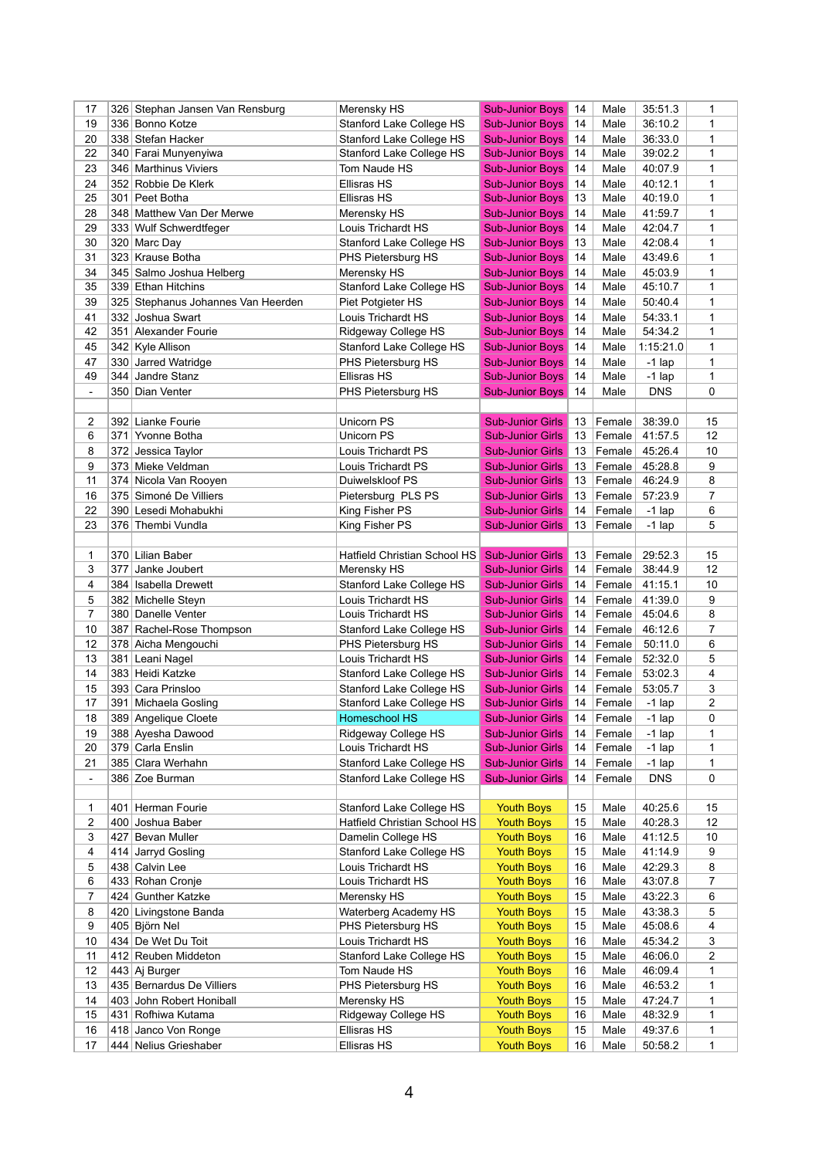| 17             |     | 326 Stephan Jansen Van Rensburg    | Merensky HS                         | <b>Sub-Junior Boys</b>  | 14              | Male   | 35:51.3          | 1              |
|----------------|-----|------------------------------------|-------------------------------------|-------------------------|-----------------|--------|------------------|----------------|
| 19             |     | 336 Bonno Kotze                    | Stanford Lake College HS            | <b>Sub-Junior Boys</b>  | 14              | Male   | 36:10.2          | 1              |
| 20             |     | 338 Stefan Hacker                  | Stanford Lake College HS            | <b>Sub-Junior Boys</b>  | 14              | Male   | 36:33.0          | 1              |
| 22             |     | 340 Farai Munyenyiwa               | Stanford Lake College HS            | <b>Sub-Junior Boys</b>  | 14              | Male   | 39:02.2          | 1              |
| 23             |     | 346 Marthinus Viviers              | Tom Naude HS                        | <b>Sub-Junior Boys</b>  | 14              | Male   | 40:07.9          | 1              |
| 24             |     | 352 Robbie De Klerk                | Ellisras HS                         | <b>Sub-Junior Boys</b>  | 14              | Male   | 40:12.1          | $\mathbf{1}$   |
| 25             |     | 301 Peet Botha                     | Ellisras HS                         | <b>Sub-Junior Boys</b>  | 13              | Male   | 40:19.0          | 1              |
| 28             |     | 348 Matthew Van Der Merwe          | Merensky HS                         | <b>Sub-Junior Boys</b>  | 14              | Male   | 41:59.7          | 1              |
| 29             |     | 333 Wulf Schwerdtfeger             | Louis Trichardt HS                  | <b>Sub-Junior Boys</b>  | 14              | Male   | 42:04.7          | 1              |
| 30             |     | 320 Marc Day                       | Stanford Lake College HS            | <b>Sub-Junior Boys</b>  | 13              | Male   | 42:08.4          | $\mathbf{1}$   |
| 31             |     | 323 Krause Botha                   | PHS Pietersburg HS                  | <b>Sub-Junior Boys</b>  | 14              | Male   | 43:49.6          | 1              |
| 34             |     | 345 Salmo Joshua Helberg           | Merensky HS                         | <b>Sub-Junior Boys</b>  | 14              | Male   | 45:03.9          | 1              |
| 35             |     | 339 Ethan Hitchins                 | <b>Stanford Lake College HS</b>     | <b>Sub-Junior Boys</b>  | 14              | Male   | 45:10.7          | $\mathbf{1}$   |
| 39             |     | 325 Stephanus Johannes Van Heerden | Piet Potgieter HS                   | <b>Sub-Junior Boys</b>  | l 14            | Male   | 50:40.4          | 1              |
| 41             |     | 332 Joshua Swart                   | Louis Trichardt HS                  | <b>Sub-Junior Boys</b>  | 14              | Male   | 54:33.1          | 1              |
| 42             | 351 | Alexander Fourie                   | Ridgeway College HS                 | <b>Sub-Junior Boys</b>  | 14              | Male   | 54:34.2          | 1              |
| 45             |     | 342 Kyle Allison                   | Stanford Lake College HS            | <b>Sub-Junior Boys</b>  | 14              | Male   | 1:15:21.0        | 1              |
| 47             | 330 | Jarred Watridge                    | PHS Pietersburg HS                  | <b>Sub-Junior Boys</b>  | 14              | Male   | $-1$ lap         | 1              |
| 49             | 344 | Jandre Stanz                       | Ellisras HS                         | <b>Sub-Junior Boys</b>  | 14              | Male   | $-1$ lap         | 1              |
|                |     |                                    |                                     |                         |                 |        | <b>DNS</b>       |                |
| $\blacksquare$ |     | 350 Dian Venter                    | PHS Pietersburg HS                  | <b>Sub-Junior Boys</b>  | 14              | Male   |                  | 0              |
|                |     |                                    |                                     |                         |                 |        |                  |                |
| 2              |     | 392 Lianke Fourie                  | Unicorn PS                          | <b>Sub-Junior Girls</b> | 13 <sup>°</sup> | Female | 38:39.0          | 15             |
| 6              | 371 | Yvonne Botha                       | Unicorn PS                          | <b>Sub-Junior Girls</b> | 13              | Female | 41:57.5          | 12             |
| 8              |     | 372 Jessica Taylor                 | Louis Trichardt PS                  | <b>Sub-Junior Girls</b> | 13              | Female | 45:26.4          | 10             |
| 9              |     | 373 Mieke Veldman                  | Louis Trichardt PS                  | <b>Sub-Junior Girls</b> | 13              | Female | 45:28.8          | 9              |
| 11             |     | 374 Nicola Van Rooyen              | Duiwelskloof PS                     | <b>Sub-Junior Girls</b> | 13              | Female | 46:24.9          | 8              |
| 16             |     | 375 Simoné De Villiers             | Pietersburg PLS PS                  | <b>Sub-Junior Girls</b> | 13              | Female | 57:23.9          | $\overline{7}$ |
| 22             |     | 390 Lesedi Mohabukhi               | King Fisher PS                      | <b>Sub-Junior Girls</b> | 14              | Female | $-1$ lap         | 6              |
| 23             |     | 376 Thembi Vundla                  | King Fisher PS                      | <b>Sub-Junior Girls</b> | 13              | Female | $-1$ lap         | 5              |
|                |     |                                    |                                     |                         |                 |        |                  |                |
| 1              |     | 370 Lilian Baber                   | Hatfield Christian School HS        | <b>Sub-Junior Girls</b> | 13              | Female | 29:52.3          | 15             |
| 3              | 377 | Janke Joubert                      | Merensky HS                         | <b>Sub-Junior Girls</b> | 14              | Female | 38:44.9          | 12             |
| 4              |     | 384   Isabella Drewett             | <b>Stanford Lake College HS</b>     | Sub-Junior Girls   14   |                 |        | Female   41:15.1 | 10             |
| 5              |     | 382 Michelle Steyn                 | Louis Trichardt HS                  | <b>Sub-Junior Girls</b> | 14              | Female | 41:39.0          | 9              |
| 7              |     | 380 Danelle Venter                 | Louis Trichardt HS                  | <b>Sub-Junior Girls</b> | 14              | Female | 45:04.6          | 8              |
| 10             | 387 | Rachel-Rose Thompson               | <b>Stanford Lake College HS</b>     | <b>Sub-Junior Girls</b> | 14              | Female | 46:12.6          | 7              |
| 12             |     | 378 Aicha Mengouchi                | PHS Pietersburg HS                  | <b>Sub-Junior Girls</b> | 14              | Female | 50:11.0          | 6              |
| 13             | 381 | Leani Nagel                        | Louis Trichardt HS                  | <b>Sub-Junior Girls</b> | 14              | Female | 52:32.0          | 5              |
| 14             |     | 383 Heidi Katzke                   | Stanford Lake College HS            | <b>Sub-Junior Girls</b> | 14              | Female | 53:02.3          | 4              |
| 15             |     | 393 Cara Prinsloo                  | <b>Stanford Lake College HS</b>     | <b>Sub-Junior Girls</b> | 14              | Female | 53:05.7          | 3              |
| 17             | 391 | Michaela Gosling                   | Stanford Lake College HS            | <b>Sub-Junior Girls</b> | 14              | Female | $-1$ lap         | $\overline{2}$ |
| 18             |     | 389 Angelique Cloete               | <b>Homeschool HS</b>                | <b>Sub-Junior Girls</b> | 14              | Female | $-1$ lap         | 0              |
| 19             |     | 388 Ayesha Dawood                  | Ridgeway College HS                 | <b>Sub-Junior Girls</b> | 14              | Female | $-1$ lap         | 1              |
| 20             | 379 | Carla Enslin                       | Louis Trichardt HS                  | <b>Sub-Junior Girls</b> | 14              | Female | $-1$ lap         | 1              |
| 21             |     | 385 Clara Werhahn                  | Stanford Lake College HS            | <b>Sub-Junior Girls</b> | 14              | Female | $-1$ lap         | 1              |
| $\blacksquare$ |     | 386 Zoe Burman                     | Stanford Lake College HS            | <b>Sub-Junior Girls</b> | 14              | Female | <b>DNS</b>       | 0              |
|                |     |                                    |                                     |                         |                 |        |                  |                |
| 1              |     | 401 Herman Fourie                  | Stanford Lake College HS            | <b>Youth Boys</b>       | 15              | Male   | 40:25.6          | 15             |
| 2              | 400 | Joshua Baber                       | <b>Hatfield Christian School HS</b> | <b>Youth Boys</b>       | 15              | Male   | 40:28.3          | 12             |
| 3              | 427 | Bevan Muller                       | Damelin College HS                  | <b>Youth Boys</b>       | 16              | Male   | 41:12.5          | 10             |
| 4              | 414 | Jarryd Gosling                     | Stanford Lake College HS            | <b>Youth Boys</b>       | 15              | Male   | 41:14.9          | 9              |
| 5              | 438 | <b>Calvin Lee</b>                  | Louis Trichardt HS                  | <b>Youth Boys</b>       | 16              | Male   | 42:29.3          | 8              |
| 6              |     | 433 Rohan Cronje                   | Louis Trichardt HS                  | <b>Youth Boys</b>       | 16              | Male   | 43:07.8          | 7              |
| 7              |     | 424 Gunther Katzke                 | Merensky HS                         | <b>Youth Boys</b>       | 15              | Male   | 43:22.3          | 6              |
| 8              |     | 420 Livingstone Banda              | <b>Waterberg Academy HS</b>         | <b>Youth Boys</b>       | 15              | Male   | 43:38.3          | 5              |
| 9              |     | 405 Björn Nel                      | PHS Pietersburg HS                  | <b>Youth Boys</b>       | 15              | Male   | 45:08.6          | 4              |
| 10             |     | 434 De Wet Du Toit                 | Louis Trichardt HS                  | <b>Youth Boys</b>       | 16              | Male   | 45:34.2          | 3              |
| 11             |     | 412 Reuben Middeton                | Stanford Lake College HS            | <b>Youth Boys</b>       | 15              | Male   | 46:06.0          | 2              |
| 12             |     | 443 Aj Burger                      | Tom Naude HS                        | <b>Youth Boys</b>       | 16              | Male   | 46:09.4          | 1              |
| 13             |     | 435 Bernardus De Villiers          | PHS Pietersburg HS                  | <b>Youth Boys</b>       | 16              | Male   | 46:53.2          | 1              |
| 14             |     | 403 John Robert Honiball           | Merensky HS                         | <b>Youth Boys</b>       | 15              | Male   | 47:24.7          | 1              |
| 15             | 431 | Rofhiwa Kutama                     | Ridgeway College HS                 | <b>Youth Boys</b>       | 16              | Male   | 48:32.9          | 1              |
| 16             |     | 418 Janco Von Ronge                | Ellisras HS                         | <b>Youth Boys</b>       | 15              | Male   | 49:37.6          | 1              |
|                |     |                                    |                                     |                         |                 |        |                  |                |
| 17             |     | 444 Nelius Grieshaber              | Ellisras HS                         | <b>Youth Boys</b>       | 16              | Male   | 50:58.2          | 1              |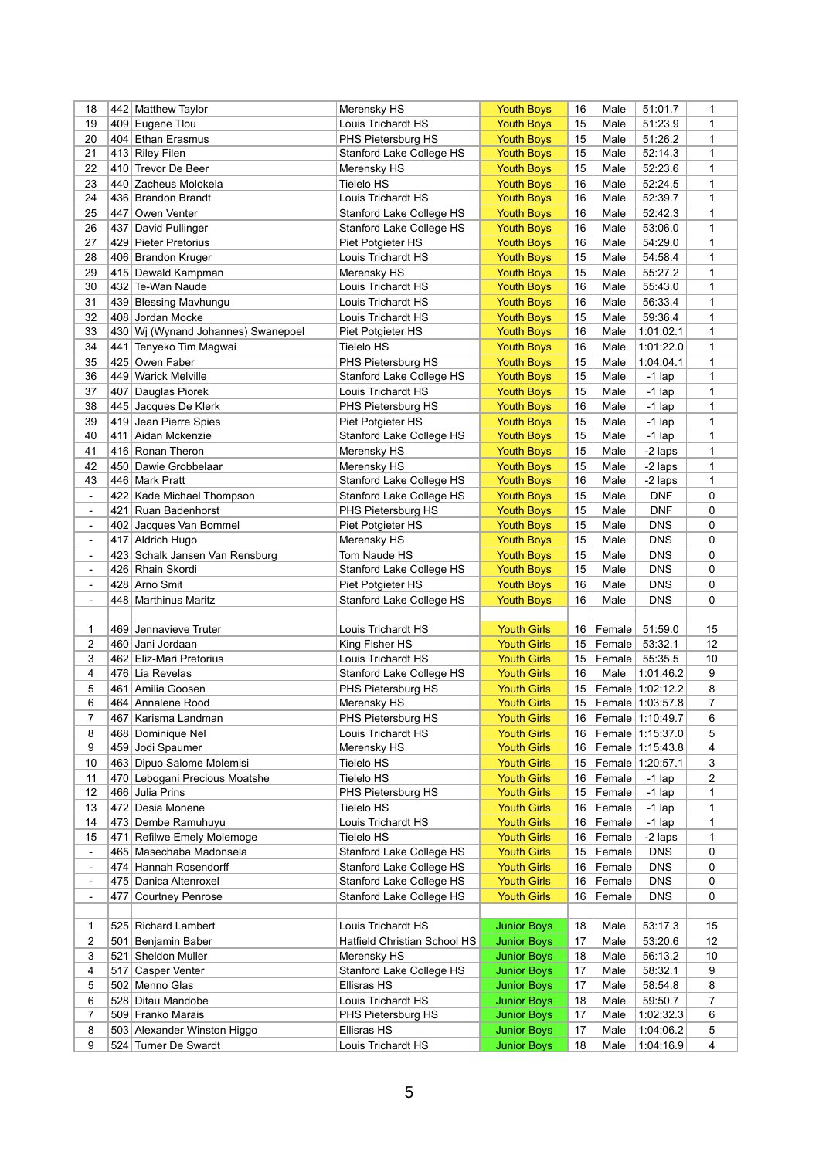| 18             | 442 | <b>Matthew Taylor</b>              | Merensky HS                     | <b>Youth Boys</b>  | 16 | Male   | 51:01.7          | 1              |
|----------------|-----|------------------------------------|---------------------------------|--------------------|----|--------|------------------|----------------|
| 19             | 409 | Eugene Tlou                        | Louis Trichardt HS              | <b>Youth Boys</b>  | 15 | Male   | 51:23.9          | 1              |
| 20             |     | 404 Ethan Erasmus                  | PHS Pietersburg HS              | <b>Youth Boys</b>  | 15 | Male   | 51:26.2          | 1              |
| 21             |     | 413 Riley Filen                    | <b>Stanford Lake College HS</b> | <b>Youth Boys</b>  | 15 | Male   | 52:14.3          | 1              |
| 22             | 410 | Trevor De Beer                     | Merensky HS                     | <b>Youth Boys</b>  | 15 | Male   | 52:23.6          | 1              |
| 23             | 440 | Zacheus Molokela                   | <b>Tielelo HS</b>               | <b>Youth Boys</b>  | 16 | Male   | 52:24.5          | 1              |
| 24             |     | 436 Brandon Brandt                 | Louis Trichardt HS              | <b>Youth Boys</b>  | 16 | Male   | 52:39.7          | 1              |
| 25             | 447 | Owen Venter                        | Stanford Lake College HS        | <b>Youth Boys</b>  | 16 | Male   | 52:42.3          | 1              |
| 26             | 437 | David Pullinger                    | <b>Stanford Lake College HS</b> | <b>Youth Boys</b>  | 16 | Male   | 53:06.0          | 1              |
| 27             |     | 429 Pieter Pretorius               |                                 | <b>Youth Boys</b>  | 16 | Male   | 54:29.0          | 1              |
|                |     |                                    | Piet Potgieter HS               |                    |    |        |                  |                |
| 28             |     | 406 Brandon Kruger                 | Louis Trichardt HS              | <b>Youth Boys</b>  | 15 | Male   | 54:58.4          | 1              |
| 29             | 415 | Dewald Kampman                     | Merensky HS                     | <b>Youth Boys</b>  | 15 | Male   | 55:27.2          | 1              |
| 30             | 432 | Te-Wan Naude                       | Louis Trichardt HS              | <b>Youth Boys</b>  | 16 | Male   | 55:43.0          | 1              |
| 31             |     | 439 Blessing Mavhungu              | Louis Trichardt HS              | <b>Youth Boys</b>  | 16 | Male   | 56:33.4          | 1              |
| 32             |     | 408 Jordan Mocke                   | Louis Trichardt HS              | <b>Youth Boys</b>  | 15 | Male   | 59:36.4          | 1              |
| 33             |     | 430 Wj (Wynand Johannes) Swanepoel | Piet Potgieter HS               | <b>Youth Boys</b>  | 16 | Male   | 1:01:02.1        | 1              |
| 34             | 441 | Tenyeko Tim Magwai                 | <b>Tielelo HS</b>               | <b>Youth Boys</b>  | 16 | Male   | 1:01:22.0        | 1              |
| 35             | 425 | Owen Faber                         | PHS Pietersburg HS              | <b>Youth Boys</b>  | 15 | Male   | 1:04:04.1        | 1              |
| 36             | 449 | <b>Warick Melville</b>             | Stanford Lake College HS        | <b>Youth Boys</b>  | 15 | Male   | $-1$ lap         | 1              |
| 37             | 407 | Dauglas Piorek                     | Louis Trichardt HS              | <b>Youth Boys</b>  | 15 | Male   | $-1$ lap         | 1              |
| 38             | 445 | Jacques De Klerk                   | PHS Pietersburg HS              | <b>Youth Boys</b>  | 16 | Male   | $-1$ lap         | 1              |
| 39             | 419 | Jean Pierre Spies                  | Piet Potgieter HS               | <b>Youth Boys</b>  | 15 | Male   | $-1$ lap         | 1              |
| 40             | 411 | Aidan Mckenzie                     | <b>Stanford Lake College HS</b> | <b>Youth Boys</b>  | 15 | Male   | $-1$ lap         | 1              |
| 41             |     | 416 Ronan Theron                   | Merensky HS                     | <b>Youth Boys</b>  | 15 | Male   | -2 laps          | 1              |
|                |     |                                    |                                 |                    |    |        |                  |                |
| 42             | 450 | Dawie Grobbelaar                   | Merensky HS                     | <b>Youth Boys</b>  | 15 | Male   | -2 laps          | 1              |
| 43             |     | 446 Mark Pratt                     | Stanford Lake College HS        | <b>Youth Boys</b>  | 16 | Male   | -2 laps          | 1              |
| $\blacksquare$ | 422 | Kade Michael Thompson              | <b>Stanford Lake College HS</b> | <b>Youth Boys</b>  | 15 | Male   | <b>DNF</b>       | 0              |
| $\blacksquare$ | 421 | Ruan Badenhorst                    | PHS Pietersburg HS              | <b>Youth Boys</b>  | 15 | Male   | <b>DNF</b>       | 0              |
| $\blacksquare$ | 402 | Jacques Van Bommel                 | Piet Potgieter HS               | <b>Youth Boys</b>  | 15 | Male   | <b>DNS</b>       | 0              |
| $\blacksquare$ | 417 | <b>Aldrich Hugo</b>                | Merensky HS                     | <b>Youth Boys</b>  | 15 | Male   | <b>DNS</b>       | 0              |
| $\blacksquare$ | 423 | Schalk Jansen Van Rensburg         | Tom Naude HS                    | <b>Youth Boys</b>  | 15 | Male   | <b>DNS</b>       | $\pmb{0}$      |
| $\blacksquare$ |     | 426 Rhain Skordi                   | Stanford Lake College HS        | <b>Youth Boys</b>  | 15 | Male   | <b>DNS</b>       | $\pmb{0}$      |
|                |     | 428 Arno Smit                      | Piet Potgieter HS               | <b>Youth Boys</b>  | 16 | Male   | <b>DNS</b>       | $\mathbf 0$    |
|                |     | 448   Marthinus Maritz             | Stanford Lake College HS        | <b>Youth Boys</b>  | 16 | Male   | <b>DNS</b>       | 0              |
|                |     |                                    |                                 |                    |    |        |                  |                |
| 1              |     | 469 Jennavieve Truter              | Louis Trichardt HS              | <b>Youth Girls</b> | 16 | Female | 51:59.0          | 15             |
| 2              |     | 460 Jani Jordaan                   | King Fisher HS                  | <b>Youth Girls</b> | 15 | Female | 53:32.1          | 12             |
| 3              |     | 462 Eliz-Mari Pretorius            | Louis Trichardt HS              | <b>Youth Girls</b> | 15 | Female | 55:35.5          | 10             |
| 4              |     | 476 Lia Revelas                    | Stanford Lake College HS        | <b>Youth Girls</b> | 16 | Male   | 1:01:46.2        | 9              |
| 5              | 461 | Amilia Goosen                      | PHS Pietersburg HS              | <b>Youth Girls</b> | 15 |        | Female 1:02:12.2 | 8              |
| 6              |     | 464 Annalene Rood                  |                                 |                    | 15 |        | Female 1:03:57.8 | $\overline{7}$ |
|                |     |                                    | Merensky HS                     | <b>Youth Girls</b> |    |        |                  |                |
| 7              |     | 467 Karisma Landman                | PHS Pietersburg HS              | <b>Youth Girls</b> | 16 |        | Female 1:10:49.7 | 6              |
| 8              |     | 468 Dominique Nel                  | <b>Louis Trichardt HS</b>       | <b>Youth Girls</b> | 16 |        | Female 1:15:37.0 | 5              |
| 9              |     | 459 Jodi Spaumer                   | Merensky HS                     | <b>Youth Girls</b> | 16 |        | Female 1:15:43.8 | 4              |
| 10             |     | 463 Dipuo Salome Molemisi          | <b>Tielelo HS</b>               | <b>Youth Girls</b> | 15 |        | Female 1:20:57.1 | 3              |
| 11             |     | 470 Lebogani Precious Moatshe      | <b>Tielelo HS</b>               | <b>Youth Girls</b> | 16 | Female | $-1$ lap         | 2              |
| 12             |     | 466 Julia Prins                    | PHS Pietersburg HS              | <b>Youth Girls</b> | 15 | Female | $-1$ lap         | 1              |
| 13             |     | 472 Desia Monene                   | <b>Tielelo HS</b>               | <b>Youth Girls</b> | 16 | Female | $-1$ lap         | 1              |
| 14             |     | 473 Dembe Ramuhuyu                 | Louis Trichardt HS              | <b>Youth Girls</b> | 16 | Female | $-1$ lap         | 1              |
| 15             | 471 | Refilwe Emely Molemoge             | <b>Tielelo HS</b>               | <b>Youth Girls</b> | 16 | Female | -2 laps          | 1              |
| $\blacksquare$ |     | 465 Masechaba Madonsela            | Stanford Lake College HS        | <b>Youth Girls</b> | 15 | Female | <b>DNS</b>       | 0              |
| $\blacksquare$ |     | 474 Hannah Rosendorff              | <b>Stanford Lake College HS</b> | <b>Youth Girls</b> | 16 | Female | <b>DNS</b>       | $\pmb{0}$      |
| $\blacksquare$ |     | 475 Danica Altenroxel              | Stanford Lake College HS        | <b>Youth Girls</b> | 16 | Female | <b>DNS</b>       | 0              |
| $\blacksquare$ |     | 477 Courtney Penrose               | <b>Stanford Lake College HS</b> | <b>Youth Girls</b> | 16 | Female | <b>DNS</b>       | 0              |
|                |     |                                    |                                 |                    |    |        |                  |                |
| 1              |     | 525 Richard Lambert                | Louis Trichardt HS              | <b>Junior Boys</b> | 18 | Male   | 53:17.3          | 15             |
|                |     |                                    |                                 |                    |    |        |                  |                |
| 2              |     | 501 Benjamin Baber                 | Hatfield Christian School HS    | <b>Junior Boys</b> | 17 | Male   | 53:20.6          | 12             |
| 3              | 521 | Sheldon Muller                     | Merensky HS                     | <b>Junior Boys</b> | 18 | Male   | 56:13.2          | 10             |
| 4              | 517 | Casper Venter                      | Stanford Lake College HS        | <b>Junior Boys</b> | 17 | Male   | 58:32.1          | 9              |
| 5              |     | 502 Menno Glas                     | <b>Ellisras HS</b>              | <b>Junior Boys</b> | 17 | Male   | 58:54.8          | 8              |
| 6              |     | 528 Ditau Mandobe                  | Louis Trichardt HS              | <b>Junior Boys</b> | 18 | Male   | 59:50.7          | $\overline{7}$ |
| 7              |     | 509 Franko Marais                  | PHS Pietersburg HS              | <b>Junior Boys</b> | 17 | Male   | 1:02:32.3        | 6              |
| 8              |     | 503 Alexander Winston Higgo        | Ellisras HS                     | <b>Junior Boys</b> | 17 | Male   | 1:04:06.2        | 5              |
| 9              |     | 524 Turner De Swardt               | Louis Trichardt HS              | <b>Junior Boys</b> | 18 | Male   | 1:04:16.9        | 4              |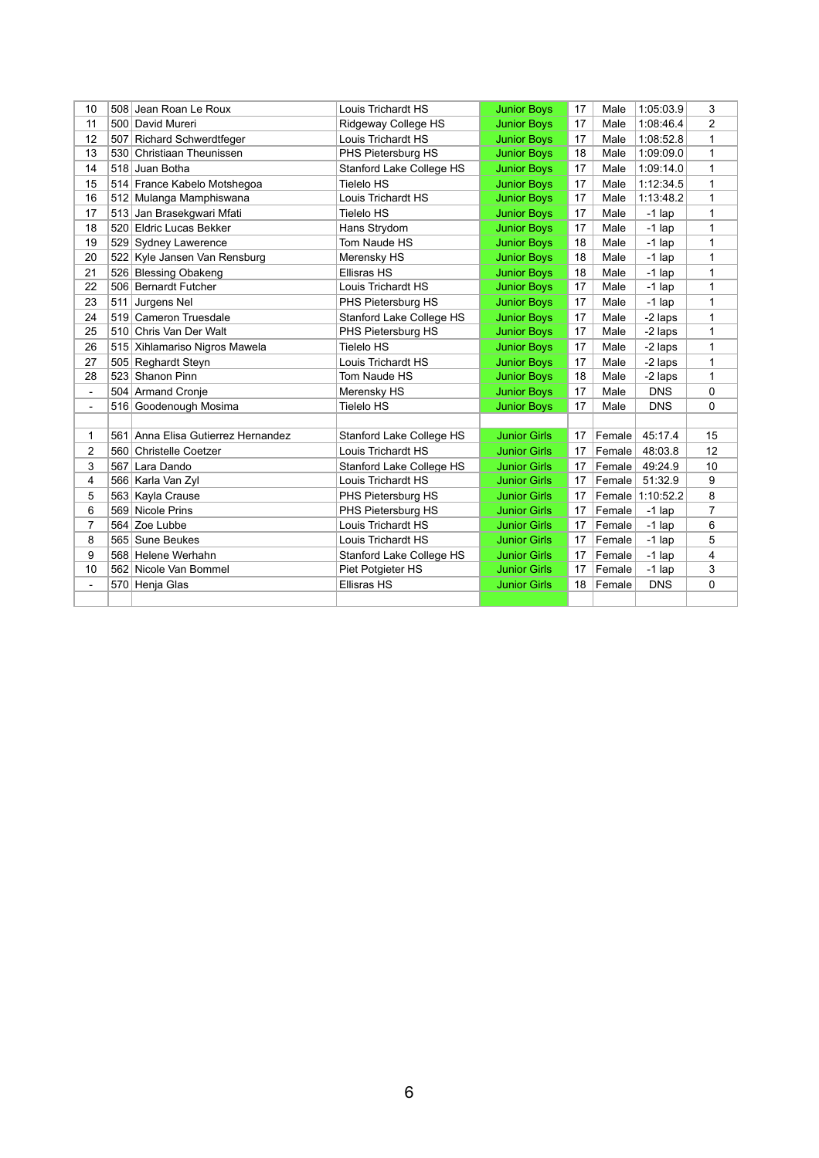| 10             |     | 508 Jean Roan Le Roux              | Louis Trichardt HS              | <b>Junior Boys</b>  | 17 | Male   | 1:05:03.9  | 3              |
|----------------|-----|------------------------------------|---------------------------------|---------------------|----|--------|------------|----------------|
| 11             |     | 500 David Mureri                   | Ridgeway College HS             | <b>Junior Boys</b>  | 17 | Male   | 1:08:46.4  | $\overline{c}$ |
| 12             | 507 | <b>Richard Schwerdtfeger</b>       | Louis Trichardt HS              | <b>Junior Boys</b>  | 17 | Male   | 1:08:52.8  | 1              |
| 13             |     | 530 Christiaan Theunissen          | PHS Pietersburg HS              | <b>Junior Boys</b>  | 18 | Male   | 1:09:09.0  | 1              |
| 14             |     | 518 Juan Botha                     | <b>Stanford Lake College HS</b> | <b>Junior Boys</b>  | 17 | Male   | 1:09:14.0  | 1              |
| 15             |     | 514 France Kabelo Motshegoa        | <b>Tielelo HS</b>               | <b>Junior Boys</b>  | 17 | Male   | 1:12:34.5  | 1              |
| 16             |     | 512 Mulanga Mamphiswana            | Louis Trichardt HS              | <b>Junior Boys</b>  | 17 | Male   | 1:13:48.2  | 1              |
| 17             | 513 | Jan Brasekgwari Mfati              | <b>Tielelo HS</b>               | <b>Junior Boys</b>  | 17 | Male   | $-1$ lap   | 1              |
| 18             | 520 | <b>Eldric Lucas Bekker</b>         | Hans Strydom                    | <b>Junior Boys</b>  | 17 | Male   | $-1$ lap   | 1              |
| 19             |     | 529 Sydney Lawerence               | Tom Naude HS                    | <b>Junior Boys</b>  | 18 | Male   | $-1$ lap   | 1              |
| 20             |     | 522 Kyle Jansen Van Rensburg       | Merensky HS                     | <b>Junior Boys</b>  | 18 | Male   | $-1$ lap   | 1              |
| 21             |     | 526 Blessing Obakeng               | <b>Ellisras HS</b>              | <b>Junior Boys</b>  | 18 | Male   | $-1$ lap   | 1              |
| 22             |     | 506 Bernardt Futcher               | Louis Trichardt HS              | <b>Junior Boys</b>  | 17 | Male   | $-1$ lap   | 1              |
| 23             | 511 | Jurgens Nel                        | PHS Pietersburg HS              | <b>Junior Boys</b>  | 17 | Male   | $-1$ lap   | 1              |
| 24             |     | 519 Cameron Truesdale              | <b>Stanford Lake College HS</b> | <b>Junior Boys</b>  | 17 | Male   | -2 laps    | 1              |
| 25             |     | 510 Chris Van Der Walt             | PHS Pietersburg HS              | <b>Junior Boys</b>  | 17 | Male   | -2 laps    | 1              |
| 26             |     | 515 Xihlamariso Nigros Mawela      | <b>Tielelo HS</b>               | <b>Junior Boys</b>  | 17 | Male   | -2 laps    | 1              |
| 27             | 505 | <b>Reghardt Steyn</b>              | Louis Trichardt HS              | <b>Junior Boys</b>  | 17 | Male   | -2 laps    | 1              |
| 28             | 523 | Shanon Pinn                        | Tom Naude HS                    | <b>Junior Boys</b>  | 18 | Male   | -2 laps    | 1              |
| $\blacksquare$ |     | 504 Armand Cronje                  | Merensky HS                     | <b>Junior Boys</b>  | 17 | Male   | <b>DNS</b> | 0              |
| $\frac{1}{2}$  |     | 516 Goodenough Mosima              | <b>Tielelo HS</b>               | <b>Junior Boys</b>  | 17 | Male   | <b>DNS</b> | $\mathbf 0$    |
|                |     |                                    |                                 |                     |    |        |            |                |
| 1              |     | 561 Anna Elisa Gutierrez Hernandez | <b>Stanford Lake College HS</b> | <b>Junior Girls</b> | 17 | Female | 45:17.4    | 15             |
| $\overline{2}$ |     | 560 Christelle Coetzer             | <b>Louis Trichardt HS</b>       | <b>Junior Girls</b> | 17 | Female | 48:03.8    | 12             |
| 3              | 567 | Lara Dando                         | <b>Stanford Lake College HS</b> | <b>Junior Girls</b> | 17 | Female | 49:24.9    | 10             |
| 4              |     | 566 Karla Van Zyl                  | Louis Trichardt HS              | <b>Junior Girls</b> | 17 | Female | 51:32.9    | 9              |
| 5              |     | 563 Kayla Crause                   | PHS Pietersburg HS              | <b>Junior Girls</b> | 17 | Female | 1:10:52.2  | 8              |
| $\,6$          |     | 569 Nicole Prins                   | PHS Pietersburg HS              | <b>Junior Girls</b> | 17 | Female | $-1$ lap   | $\overline{7}$ |
| $\overline{7}$ | 564 | Zoe Lubbe                          | Louis Trichardt HS              | <b>Junior Girls</b> | 17 | Female | $-1$ lap   | 6              |
| 8              | 565 | Sune Beukes                        | Louis Trichardt HS              | <b>Junior Girls</b> | 17 | Female | $-1$ lap   | 5              |
| 9              |     | 568 Helene Werhahn                 | <b>Stanford Lake College HS</b> | <b>Junior Girls</b> | 17 | Female | $-1$ lap   | 4              |
| 10             |     | 562 Nicole Van Bommel              | Piet Potgieter HS               | <b>Junior Girls</b> | 17 | Female | $-1$ lap   | 3              |
| $\blacksquare$ |     | 570 Henja Glas                     | <b>Ellisras HS</b>              | <b>Junior Girls</b> | 18 | Female | <b>DNS</b> | 0              |
|                |     |                                    |                                 |                     |    |        |            |                |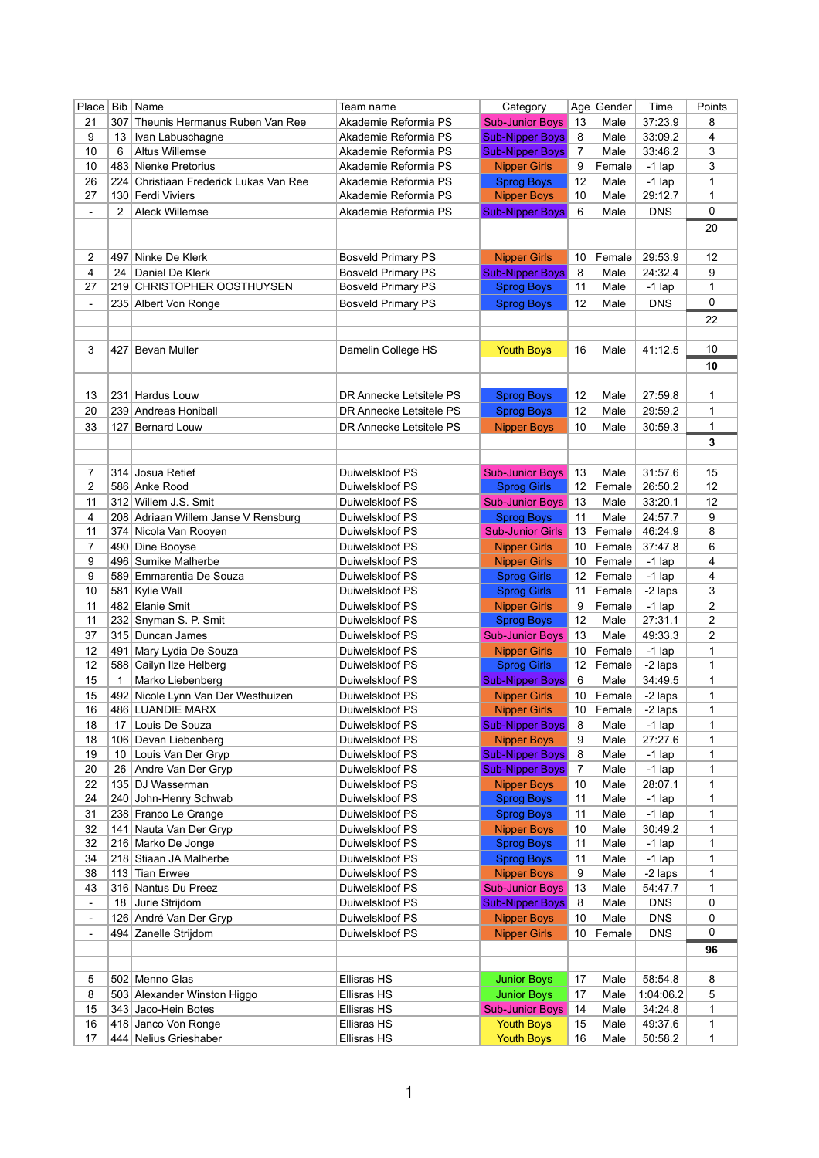| Place          | <b>Bib</b> | Name                                | Team name                 | Category                |                 | Age Gender | Time       | Points         |
|----------------|------------|-------------------------------------|---------------------------|-------------------------|-----------------|------------|------------|----------------|
| 21             | 307        | Theunis Hermanus Ruben Van Ree      | Akademie Reformia PS      | <b>Sub-Junior Boys</b>  | 13              | Male       | 37:23.9    | 8              |
| 9              | 13         | Ivan Labuschagne                    | Akademie Reformia PS      | <b>Sub-Nipper Boys</b>  | 8               | Male       | 33:09.2    | 4              |
| 10             | 6          | <b>Altus Willemse</b>               | Akademie Reformia PS      | <b>Sub-Nipper Boys</b>  | 7               | Male       | 33:46.2    | 3              |
| 10             |            | 483 Nienke Pretorius                | Akademie Reformia PS      | <b>Nipper Girls</b>     | 9               | Female     | $-1$ lap   | 3              |
| 26             | 224        | Christiaan Frederick Lukas Van Ree  | Akademie Reformia PS      | <b>Sprog Boys</b>       | 12              | Male       | $-1$ lap   | 1              |
| 27             |            | 130 Ferdi Viviers                   | Akademie Reformia PS      | <b>Nipper Boys</b>      | 10              | Male       | 29:12.7    | 1              |
|                | 2          | <b>Aleck Willemse</b>               |                           |                         |                 |            | <b>DNS</b> | 0              |
| $\blacksquare$ |            |                                     | Akademie Reformia PS      | <b>Sub-Nipper Boys</b>  | 6               | Male       |            |                |
|                |            |                                     |                           |                         |                 |            |            | 20             |
|                |            |                                     |                           |                         |                 |            |            |                |
| 2              | 497        | Ninke De Klerk                      | <b>Bosveld Primary PS</b> | <b>Nipper Girls</b>     | 10              | Female     | 29:53.9    | 12             |
| 4              | 24         | Daniel De Klerk                     | <b>Bosveld Primary PS</b> | <b>Sub-Nipper Boys</b>  | 8               | Male       | 24:32.4    | 9              |
| 27             |            | 219 CHRISTOPHER OOSTHUYSEN          | <b>Bosveld Primary PS</b> | <b>Sprog Boys</b>       | 11              | Male       | $-1$ lap   | 1              |
| $\blacksquare$ |            | 235 Albert Von Ronge                | <b>Bosveld Primary PS</b> | <b>Sprog Boys</b>       | 12              | Male       | <b>DNS</b> | 0              |
|                |            |                                     |                           |                         |                 |            |            | 22             |
|                |            |                                     |                           |                         |                 |            |            |                |
| 3              | 427        | Bevan Muller                        | Damelin College HS        | <b>Youth Boys</b>       | 16              | Male       | 41:12.5    | 10             |
|                |            |                                     |                           |                         |                 |            |            | 10             |
|                |            |                                     |                           |                         |                 |            |            |                |
|                |            |                                     |                           |                         |                 |            |            |                |
| 13             | 231        | Hardus Louw                         | DR Annecke Letsitele PS   | <b>Sprog Boys</b>       | 12              | Male       | 27:59.8    | 1              |
| 20             |            | 239 Andreas Honiball                | DR Annecke Letsitele PS   | <b>Sprog Boys</b>       | 12              | Male       | 29:59.2    | 1              |
| 33             | 127        | <b>Bernard Louw</b>                 | DR Annecke Letsitele PS   | <b>Nipper Boys</b>      | 10 <sup>°</sup> | Male       | 30:59.3    | 1              |
|                |            |                                     |                           |                         |                 |            |            | 3              |
|                |            |                                     |                           |                         |                 |            |            |                |
| 7              |            | 314 Josua Retief                    | Duiwelskloof PS           | <b>Sub-Junior Boys</b>  | 13              | Male       | 31:57.6    | 15             |
| $\overline{c}$ |            | 586 Anke Rood                       | Duiwelskloof PS           | <b>Sprog Girls</b>      | 12              | Female     | 26:50.2    | 12             |
| 11             | 312        | Willem J.S. Smit                    | Duiwelskloof PS           | <b>Sub-Junior Boys</b>  | 13              | Male       | 33:20.1    | 12             |
| 4              |            | 208 Adriaan Willem Janse V Rensburg | Duiwelskloof PS           | <b>Sprog Boys</b>       | 11              | Male       | 24:57.7    | 9              |
| 11             | 374        | Nicola Van Rooyen                   | Duiwelskloof PS           | <b>Sub-Junior Girls</b> | 13              | Female     | 46:24.9    | 8              |
| $\overline{7}$ |            | 490 Dine Booyse                     | Duiwelskloof PS           | <b>Nipper Girls</b>     | 10              | Female     | 37:47.8    | 6              |
|                |            | 496 Sumike Malherbe                 |                           |                         |                 |            |            |                |
| 9              |            |                                     | Duiwelskloof PS           | <b>Nipper Girls</b>     | 10              | Female     | $-1$ lap   | 4              |
| 9              |            | 589 Emmarentia De Souza             | Duiwelskloof PS           | <b>Sprog Girls</b>      | 12 <sup>°</sup> | Female     | $-1$ lap   | 4              |
| 10             |            | 581 Kylie Wall                      | Duiwelskloof PS           | <b>Sprog Girls</b>      | 11              | Female     | -2 laps    | 3              |
| 11             |            | 482 Elanie Smit                     | Duiwelskloof PS           | <b>Nipper Girls</b>     | 9               | Female     | $-1$ lap   | 2              |
| 11             |            | 232 Snyman S. P. Smit               | Duiwelskloof PS           | <b>Sprog Boys</b>       | 12              | Male       | 27:31.1    | $\overline{2}$ |
| 37             |            | 315 Duncan James                    | Duiwelskloof PS           | <b>Sub-Junior Boys</b>  | 13              | Male       | 49:33.3    | 2              |
| 12             | 491        | Mary Lydia De Souza                 | Duiwelskloof PS           | <b>Nipper Girls</b>     | 10 <sup>°</sup> | Female     | $-1$ lap   | 1              |
| 12             |            | 588 Cailyn Ilze Helberg             | Duiwelskloof PS           | <b>Sprog Girls</b>      | 12              | Female     | -2 laps    | 1              |
| 15             | 1          | Marko Liebenberg                    | Duiwelskloof PS           | <b>Sub-Nipper Boys</b>  | 6               | Male       | 34:49.5    | 1              |
| 15             |            | 492 Nicole Lynn Van Der Westhuizen  | Duiwelskloof PS           | <b>Nipper Girls</b>     | 10              | Female     | -2 laps    | 1              |
| 16             |            | 486 LUANDIE MARX                    | Duiwelskloof PS           | <b>Nipper Girls</b>     | 10              | Female     | -2 laps    | 1              |
| 18             | 17         | Louis De Souza                      | Duiwelskloof PS           | <b>Sub-Nipper Boys</b>  | 8               | Male       | $-1$ lap   | 1              |
| 18             |            | 106 Devan Liebenberg                | Duiwelskloof PS           | <b>Nipper Boys</b>      | 9               | Male       | 27:27.6    | 1              |
| 19             | 10         | Louis Van Der Gryp                  | Duiwelskloof PS           | <b>Sub-Nipper Boys</b>  | 8               | Male       | $-1$ lap   | 1              |
| 20             | 26         | Andre Van Der Gryp                  | Duiwelskloof PS           | <b>Sub-Nipper Boys</b>  | 7               | Male       | $-1$ lap   | 1              |
| 22             |            | 135 DJ Wasserman                    | Duiwelskloof PS           | <b>Nipper Boys</b>      | 10              | Male       | 28:07.1    | 1              |
| 24             |            | 240 John-Henry Schwab               | Duiwelskloof PS           | <b>Sprog Boys</b>       | 11              | Male       | $-1$ lap   | 1              |
| 31             |            | 238 Franco Le Grange                | Duiwelskloof PS           | <b>Sprog Boys</b>       | 11              | Male       | $-1$ lap   | $\mathbf 1$    |
|                |            |                                     |                           |                         |                 |            |            |                |
| 32             | 141        | Nauta Van Der Gryp                  | Duiwelskloof PS           | <b>Nipper Boys</b>      | 10              | Male       | 30:49.2    | 1              |
| 32             |            | 216 Marko De Jonge                  | Duiwelskloof PS           | <b>Sprog Boys</b>       | 11              | Male       | $-1$ lap   | 1              |
| 34             |            | 218 Stiaan JA Malherbe              | Duiwelskloof PS           | <b>Sprog Boys</b>       | 11              | Male       | $-1$ lap   | 1              |
| 38             | 113        | <b>Tian Erwee</b>                   | Duiwelskloof PS           | <b>Nipper Boys</b>      | 9               | Male       | -2 laps    | 1              |
| 43             |            | 316 Nantus Du Preez                 | Duiwelskloof PS           | <b>Sub-Junior Boys</b>  | 13              | Male       | 54:47.7    | 1              |
| $\blacksquare$ | 18         | Jurie Strijdom                      | Duiwelskloof PS           | <b>Sub-Nipper Boys</b>  | 8               | Male       | <b>DNS</b> | 0              |
| $\blacksquare$ |            | 126 André Van Der Gryp              | Duiwelskloof PS           | <b>Nipper Boys</b>      | 10              | Male       | <b>DNS</b> | 0              |
| $\blacksquare$ |            | 494 Zanelle Strijdom                | Duiwelskloof PS           | <b>Nipper Girls</b>     | 10              | Female     | <b>DNS</b> | 0              |
|                |            |                                     |                           |                         |                 |            |            | 96             |
|                |            |                                     |                           |                         |                 |            |            |                |
| 5              |            | 502 Menno Glas                      | <b>Ellisras HS</b>        | <b>Junior Boys</b>      | 17              | Male       | 58:54.8    | 8              |
| 8              |            | 503 Alexander Winston Higgo         | <b>Ellisras HS</b>        | <b>Junior Boys</b>      | 17              | Male       | 1:04:06.2  | 5              |
| 15             |            | 343 Jaco-Hein Botes                 | <b>Ellisras HS</b>        | <b>Sub-Junior Boys</b>  | 14              | Male       | 34:24.8    | 1              |
| 16             |            | 418 Janco Von Ronge                 | <b>Ellisras HS</b>        | <b>Youth Boys</b>       | 15              | Male       | 49:37.6    | 1              |
| 17             |            | 444 Nelius Grieshaber               | <b>Ellisras HS</b>        | <b>Youth Boys</b>       | 16              | Male       | 50:58.2    | 1              |
|                |            |                                     |                           |                         |                 |            |            |                |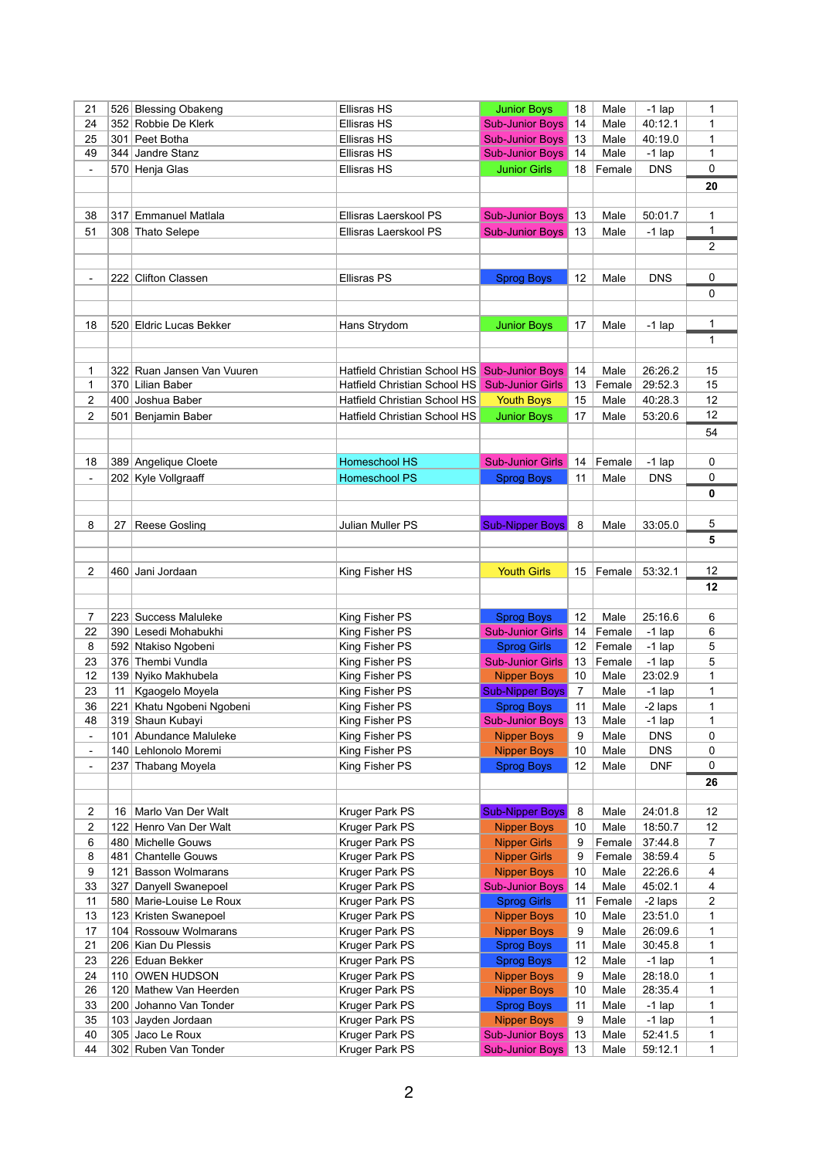| 21             |     | 526 Blessing Obakeng                           | <b>Ellisras HS</b>                                           | <b>Junior Boys</b>                                | 18              | Male           | $-1$ lap   | 1              |
|----------------|-----|------------------------------------------------|--------------------------------------------------------------|---------------------------------------------------|-----------------|----------------|------------|----------------|
| 24             |     | 352 Robbie De Klerk                            | <b>Ellisras HS</b>                                           | <b>Sub-Junior Boys</b>                            | 14              | Male           | 40:12.1    | 1              |
| 25             | 301 | Peet Botha                                     | <b>Ellisras HS</b>                                           | <b>Sub-Junior Boys</b>                            | 13              | Male           | 40:19.0    | 1              |
| 49             |     | 344 Jandre Stanz                               | Ellisras HS                                                  | <b>Sub-Junior Boys</b>                            | 14              | Male           | $-1$ lap   | 1              |
| $\blacksquare$ |     | 570 Henja Glas                                 | <b>Ellisras HS</b>                                           | <b>Junior Girls</b>                               | 18              | Female         | <b>DNS</b> | 0              |
|                |     |                                                |                                                              |                                                   |                 |                |            | 20             |
|                |     |                                                |                                                              |                                                   |                 |                |            |                |
| 38             | 317 | <b>Emmanuel Matlala</b>                        | Ellisras Laerskool PS                                        | <b>Sub-Junior Boys</b>                            | 13              | Male           | 50:01.7    | 1              |
| 51             |     | 308 Thato Selepe                               | Ellisras Laerskool PS                                        | <b>Sub-Junior Boys</b>                            | 13              | Male           | $-1$ lap   | 1              |
|                |     |                                                |                                                              |                                                   |                 |                |            | $\overline{2}$ |
|                |     |                                                |                                                              |                                                   |                 |                |            |                |
| $\blacksquare$ |     | 222 Clifton Classen                            | <b>Ellisras PS</b>                                           | <b>Sprog Boys</b>                                 | 12              | Male           | <b>DNS</b> | 0              |
|                |     |                                                |                                                              |                                                   |                 |                |            | 0              |
|                |     |                                                |                                                              |                                                   |                 |                |            |                |
|                |     |                                                |                                                              |                                                   |                 |                |            |                |
| 18             |     | 520 Eldric Lucas Bekker                        | Hans Strydom                                                 | <b>Junior Boys</b>                                | 17              | Male           | $-1$ lap   | 1              |
|                |     |                                                |                                                              |                                                   |                 |                |            | 1              |
|                |     |                                                |                                                              |                                                   |                 |                |            |                |
| 1              |     | 322 Ruan Jansen Van Vuuren<br>370 Lilian Baber | Hatfield Christian School HS<br>Hatfield Christian School HS | <b>Sub-Junior Boys</b><br><b>Sub-Junior Girls</b> | 14<br>13        | Male<br>Female | 26:26.2    | 15             |
| 1              |     |                                                |                                                              |                                                   |                 |                | 29:52.3    | 15             |
| 2              |     | 400 Joshua Baber                               | <b>Hatfield Christian School HS</b>                          | <b>Youth Boys</b>                                 | 15              | Male           | 40:28.3    | 12             |
| 2              | 501 | Benjamin Baber                                 | <b>Hatfield Christian School HS</b>                          | <b>Junior Boys</b>                                | 17              | Male           | 53:20.6    | 12             |
|                |     |                                                |                                                              |                                                   |                 |                |            | 54             |
|                |     |                                                |                                                              |                                                   |                 |                |            |                |
| 18             |     | 389 Angelique Cloete                           | <b>Homeschool HS</b>                                         | <b>Sub-Junior Girls</b>                           | 14              | Female         | $-1$ lap   | 0              |
| $\blacksquare$ |     | 202 Kyle Vollgraaff                            | <b>Homeschool PS</b>                                         | <b>Sprog Boys</b>                                 | 11              | Male           | <b>DNS</b> | 0              |
|                |     |                                                |                                                              |                                                   |                 |                |            | 0              |
|                |     |                                                |                                                              |                                                   |                 |                |            |                |
| 8              | 27  | <b>Reese Gosling</b>                           | Julian Muller PS                                             | <b>Sub-Nipper Boys</b>                            | 8               | Male           | 33:05.0    | 5              |
|                |     |                                                |                                                              |                                                   |                 |                |            | 5              |
|                |     |                                                |                                                              |                                                   |                 |                |            |                |
| 2              | 460 | Jani Jordaan                                   | King Fisher HS                                               | <b>Youth Girls</b>                                | 15              | Female         | 53:32.1    | 12             |
|                |     |                                                |                                                              |                                                   |                 |                |            | 12             |
|                |     |                                                |                                                              |                                                   |                 |                |            |                |
| 7              |     | 223 Success Maluleke                           | King Fisher PS                                               | <b>Sprog Boys</b>                                 | 12              | Male           | 25:16.6    | 6              |
| 22             |     | 390 Lesedi Mohabukhi                           | King Fisher PS                                               | <b>Sub-Junior Girls</b>                           | 14              | Female         | $-1$ lap   | 6              |
| 8              |     | 592 Ntakiso Ngobeni                            | King Fisher PS                                               | <b>Sprog Girls</b>                                | 12 <sup>2</sup> | Female         | $-1$ lap   | 5              |
| 23             |     | 376 Thembi Vundla                              | King Fisher PS                                               | <b>Sub-Junior Girls</b>                           | 13              | Female         | $-1$ lap   | 5              |
| 12             |     | 139 Nyiko Makhubela                            | King Fisher PS                                               | <b>Nipper Boys</b>                                | 10              | Male           | 23:02.9    | 1              |
| 23             | 11  | Kgaogelo Moyela                                | King Fisher PS                                               | <b>Sub-Nipper Boys</b>                            | $\overline{7}$  | Male           | $-1$ lap   | $\mathbf 1$    |
| 36             | 221 | Khatu Ngobeni Ngobeni                          | King Fisher PS                                               | <b>Sprog Boys</b>                                 | 11              | Male           | -2 laps    | 1              |
| 48             |     | 319 Shaun Kubayi                               | King Fisher PS                                               | <b>Sub-Junior Boys</b>                            | 13              | Male           | $-1$ lap   | 1              |
| $\blacksquare$ | 101 | Abundance Maluleke                             | King Fisher PS                                               | <b>Nipper Boys</b>                                | 9               | Male           | <b>DNS</b> | 0              |
| $\blacksquare$ |     | 140 Lehlonolo Moremi                           | King Fisher PS                                               | <b>Nipper Boys</b>                                | 10              | Male           | <b>DNS</b> | 0              |
| $\blacksquare$ |     | 237 Thabang Moyela                             | King Fisher PS                                               | <b>Sprog Boys</b>                                 | 12              | Male           | <b>DNF</b> | $\mathbf{0}$   |
|                |     |                                                |                                                              |                                                   |                 |                |            | 26             |
|                |     |                                                |                                                              |                                                   |                 |                |            |                |
| 2              | 16  | Marlo Van Der Walt                             | Kruger Park PS                                               | <b>Sub-Nipper Boys</b>                            | 8               | Male           | 24:01.8    | 12             |
| 2              |     | 122 Henro Van Der Walt                         | Kruger Park PS                                               | <b>Nipper Boys</b>                                | 10              | Male           | 18:50.7    | 12             |
| 6              |     | 480 Michelle Gouws                             | Kruger Park PS                                               | <b>Nipper Girls</b>                               | 9               | Female         | 37:44.8    | $\overline{7}$ |
| 8              |     | 481 Chantelle Gouws                            | Kruger Park PS                                               | <b>Nipper Girls</b>                               | 9               | Female         | 38:59.4    | 5              |
| 9              | 121 | <b>Basson Wolmarans</b>                        | Kruger Park PS                                               | <b>Nipper Boys</b>                                | 10              | Male           | 22:26.6    | 4              |
| 33             | 327 | Danyell Swanepoel                              | Kruger Park PS                                               | <b>Sub-Junior Boys</b>                            | 14              | Male           | 45:02.1    | 4              |
| 11             |     | 580 Marie-Louise Le Roux                       | Kruger Park PS                                               | <b>Sprog Girls</b>                                | 11              | Female         | -2 laps    | $\overline{2}$ |
| 13             |     | 123 Kristen Swanepoel                          | Kruger Park PS                                               | <b>Nipper Boys</b>                                | 10              | Male           | 23:51.0    | 1              |
| 17             |     | 104 Rossouw Wolmarans                          | Kruger Park PS                                               | <b>Nipper Boys</b>                                | 9               | Male           | 26:09.6    | 1              |
| 21             |     | 206 Kian Du Plessis                            | Kruger Park PS                                               | <b>Sprog Boys</b>                                 | 11              | Male           | 30:45.8    | 1              |
| 23             |     | 226 Eduan Bekker                               | Kruger Park PS                                               | <b>Sprog Boys</b>                                 | 12              | Male           | $-1$ lap   | 1              |
| 24             |     | 110 OWEN HUDSON                                | Kruger Park PS                                               | <b>Nipper Boys</b>                                | 9               | Male           | 28:18.0    | 1              |
| 26             |     | 120 Mathew Van Heerden                         | Kruger Park PS                                               | <b>Nipper Boys</b>                                | 10              | Male           | 28:35.4    | 1              |
| 33             |     | 200 Johanno Van Tonder                         | Kruger Park PS                                               | <b>Sprog Boys</b>                                 | 11              | Male           | $-1$ lap   | 1              |
| 35             |     | 103 Jayden Jordaan                             | Kruger Park PS                                               | <b>Nipper Boys</b>                                | 9               | Male           | $-1$ lap   | 1              |
| 40             |     | 305 Jaco Le Roux                               | Kruger Park PS                                               | <b>Sub-Junior Boys</b>                            | 13              | Male           | 52:41.5    | 1.             |
| 44             |     | 302 Ruben Van Tonder                           | Kruger Park PS                                               | <b>Sub-Junior Boys</b>                            | 13              | Male           | 59:12.1    | 1              |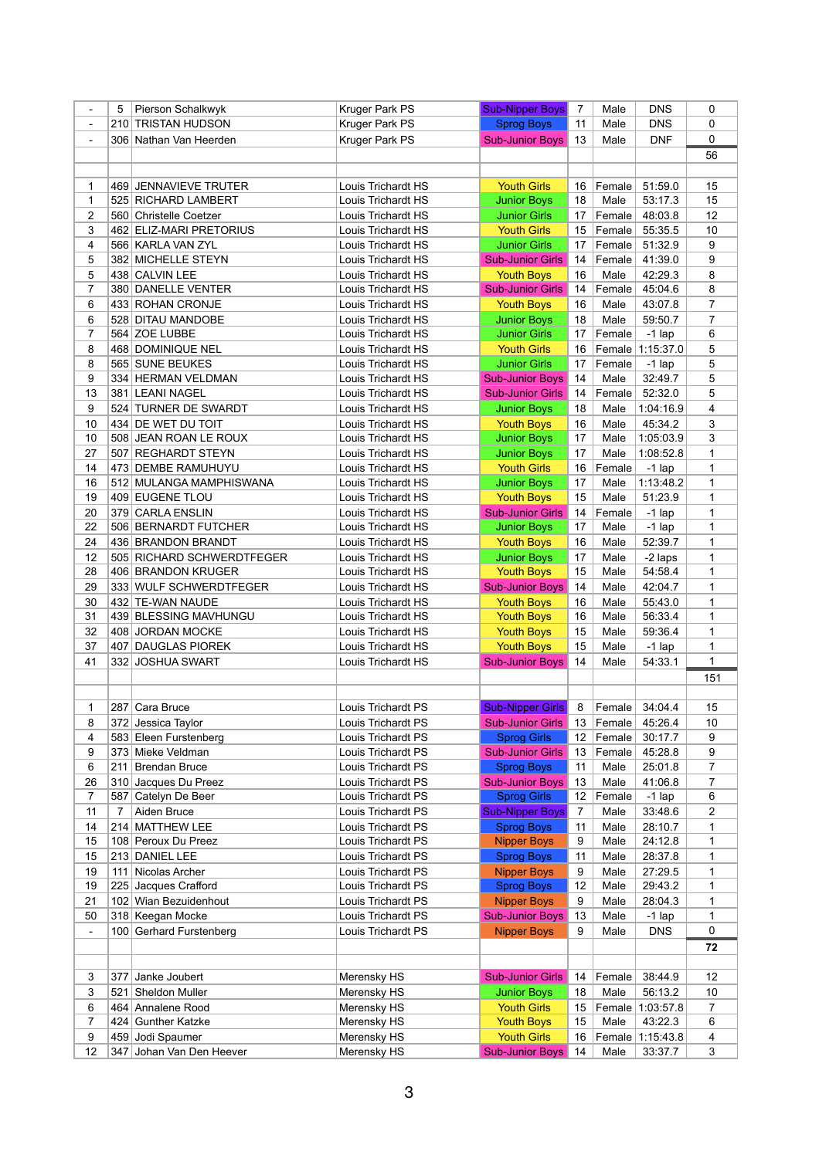|                | 5   | Pierson Schalkwyk         | <b>Kruger Park PS</b>     | <b>Sub-Nipper Boys</b>  | $\overline{7}$ | Male   | <b>DNS</b> | 0              |
|----------------|-----|---------------------------|---------------------------|-------------------------|----------------|--------|------------|----------------|
| $\blacksquare$ |     | 210 TRISTAN HUDSON        | Kruger Park PS            | <b>Sprog Boys</b>       | 11             | Male   | <b>DNS</b> | 0              |
| $\blacksquare$ |     | 306 Nathan Van Heerden    | <b>Kruger Park PS</b>     | <b>Sub-Junior Boys</b>  | 13             | Male   | <b>DNF</b> | 0              |
|                |     |                           |                           |                         |                |        |            | 56             |
|                |     |                           |                           |                         |                |        |            |                |
|                |     |                           |                           |                         |                |        |            |                |
| 1              |     | 469 JENNAVIEVE TRUTER     | Louis Trichardt HS        | <b>Youth Girls</b>      | 16             | Female | 51:59.0    | 15             |
| 1              |     | 525 RICHARD LAMBERT       | Louis Trichardt HS        | <b>Junior Boys</b>      | 18             | Male   | 53:17.3    | 15             |
| $\overline{c}$ |     | 560 Christelle Coetzer    | Louis Trichardt HS        | <b>Junior Girls</b>     | 17             | Female | 48:03.8    | 12             |
| 3              |     | 462 ELIZ-MARI PRETORIUS   | Louis Trichardt HS        | <b>Youth Girls</b>      | 15             | Female | 55:35.5    | 10             |
| 4              |     | 566 KARLA VAN ZYL         | Louis Trichardt HS        | <b>Junior Girls</b>     | 17             | Female | 51:32.9    | 9              |
| 5              |     | 382 MICHELLE STEYN        | Louis Trichardt HS        | <b>Sub-Junior Girls</b> | 14             | Female | 41:39.0    | 9              |
| 5              |     | 438 CALVIN LEE            | Louis Trichardt HS        | <b>Youth Boys</b>       | 16             | Male   | 42:29.3    | 8              |
| $\overline{7}$ |     | 380 DANELLE VENTER        | Louis Trichardt HS        | <b>Sub-Junior Girls</b> | 14             | Female | 45:04.6    | 8              |
| 6              |     | 433 ROHAN CRONJE          | Louis Trichardt HS        | <b>Youth Boys</b>       | 16             | Male   | 43:07.8    | 7              |
| 6              |     | 528 DITAU MANDOBE         | Louis Trichardt HS        | <b>Junior Boys</b>      | 18             | Male   | 59:50.7    | $\overline{7}$ |
| $\overline{7}$ |     | 564 ZOE LUBBE             | Louis Trichardt HS        | <b>Junior Girls</b>     | 17             | Female | $-1$ lap   | 6              |
| 8              |     | 468 DOMINIQUE NEL         | Louis Trichardt HS        | <b>Youth Girls</b>      | 16             | Female | 1:15:37.0  | 5              |
| 8              |     | 565 SUNE BEUKES           | Louis Trichardt HS        | <b>Junior Girls</b>     | 17             | Female | $-1$ lap   | 5              |
| 9              |     | 334 HERMAN VELDMAN        | Louis Trichardt HS        | <b>Sub-Junior Boys</b>  | 14             | Male   | 32:49.7    | 5              |
| 13             |     | 381 LEANI NAGEL           | Louis Trichardt HS        | <b>Sub-Junior Girls</b> | 14             | Female | 52:32.0    | 5              |
| 9              |     | 524 TURNER DE SWARDT      | Louis Trichardt HS        | <b>Junior Boys</b>      | 18             | Male   | 1:04:16.9  | 4              |
|                |     | 434 DE WET DU TOIT        |                           |                         |                |        |            | 3              |
| 10             |     |                           | Louis Trichardt HS        | <b>Youth Boys</b>       | 16             | Male   | 45:34.2    |                |
| 10             |     | 508 JEAN ROAN LE ROUX     | Louis Trichardt HS        | <b>Junior Boys</b>      | 17             | Male   | 1:05:03.9  | 3              |
| 27             |     | 507 REGHARDT STEYN        | Louis Trichardt HS        | <b>Junior Boys</b>      | 17             | Male   | 1:08:52.8  | 1              |
| 14             |     | 473 DEMBE RAMUHUYU        | Louis Trichardt HS        | <b>Youth Girls</b>      | 16             | Female | $-1$ lap   | 1              |
| 16             |     | 512 MULANGA MAMPHISWANA   | Louis Trichardt HS        | <b>Junior Boys</b>      | 17             | Male   | 1:13:48.2  | 1              |
| 19             |     | 409 EUGENE TLOU           | Louis Trichardt HS        | <b>Youth Boys</b>       | 15             | Male   | 51:23.9    | 1              |
| 20             |     | 379 CARLA ENSLIN          | Louis Trichardt HS        | <b>Sub-Junior Girls</b> | 14             | Female | $-1$ lap   | 1              |
| 22             |     | 506 BERNARDT FUTCHER      | Louis Trichardt HS        | <b>Junior Boys</b>      | 17             | Male   | $-1$ lap   | 1              |
| 24             |     | 436 BRANDON BRANDT        | Louis Trichardt HS        | <b>Youth Boys</b>       | 16             | Male   | 52:39.7    | 1              |
| 12             |     | 505 RICHARD SCHWERDTFEGER | Louis Trichardt HS        | <b>Junior Boys</b>      | 17             | Male   | -2 laps    | 1              |
| 28             |     | 406 BRANDON KRUGER        | Louis Trichardt HS        | <b>Youth Boys</b>       | 15             | Male   | 54:58.4    | 1              |
| 29             |     | 333 WULF SCHWERDTFEGER    | Louis Trichardt HS        | Sub-Junior Boys 14      |                | Male   | 42:04.7    | 1              |
| 30             |     | 432   TE-WAN NAUDE        |                           |                         | 16             | Male   | 55:43.0    | 1              |
|                |     |                           | Louis Trichardt HS        | <b>Youth Boys</b>       |                |        |            |                |
| 31             |     | 439 BLESSING MAVHUNGU     | Louis Trichardt HS        | <b>Youth Boys</b>       | 16             | Male   | 56:33.4    | 1              |
| 32             |     | 408 JORDAN MOCKE          | Louis Trichardt HS        | <b>Youth Boys</b>       | 15             | Male   | 59:36.4    | 1              |
| 37             |     | 407 DAUGLAS PIOREK        | Louis Trichardt HS        | <b>Youth Boys</b>       | 15             | Male   | $-1$ lap   | 1              |
| 41             |     | 332 JOSHUA SWART          | Louis Trichardt HS        | <b>Sub-Junior Boys</b>  | 14             | Male   | 54:33.1    | 1              |
|                |     |                           |                           |                         |                |        |            | 151            |
|                |     |                           |                           |                         |                |        |            |                |
| 1              |     | 287 Cara Bruce            | Louis Trichardt PS        | <b>Sub-Nipper Girls</b> | 8              | Female | 34:04.4    | 15             |
| 8              |     | 372 Jessica Taylor        | <b>Louis Trichardt PS</b> | <b>Sub-Junior Girls</b> | 13             | Female | 45:26.4    | 10             |
| 4              |     | 583 Eleen Furstenberg     | Louis Trichardt PS        | <b>Sprog Girls</b>      | 12             | Female | 30:17.7    | 9              |
| 9              |     | 373 Mieke Veldman         | Louis Trichardt PS        | <b>Sub-Junior Girls</b> | 13             | Female | 45:28.8    | 9              |
| 6              | 211 | Brendan Bruce             | Louis Trichardt PS        | <b>Sprog Boys</b>       | 11             | Male   | 25:01.8    | 7              |
| 26             |     | 310 Jacques Du Preez      | Louis Trichardt PS        | <b>Sub-Junior Boys</b>  | 13             | Male   | 41:06.8    | 7              |
| $\overline{7}$ |     | 587 Catelyn De Beer       | Louis Trichardt PS        | <b>Sprog Girls</b>      | 12             | Female | $-1$ lap   | 6              |
|                |     |                           |                           |                         |                |        |            |                |
| 11             | 7   | Aiden Bruce               | Louis Trichardt PS        | <b>Sub-Nipper Boys</b>  | 7              | Male   | 33:48.6    | 2              |
| 14             |     | 214 MATTHEW LEE           | Louis Trichardt PS        | <b>Sprog Boys</b>       | 11             | Male   | 28:10.7    | 1              |
| 15             |     | 108 Peroux Du Preez       | Louis Trichardt PS        | <b>Nipper Boys</b>      | 9              | Male   | 24:12.8    | 1              |
| 15             |     | 213 DANIEL LEE            | Louis Trichardt PS        | <b>Sprog Boys</b>       | 11             | Male   | 28:37.8    | 1              |
| 19             | 111 | Nicolas Archer            | Louis Trichardt PS        | <b>Nipper Boys</b>      | 9              | Male   | 27:29.5    | 1              |
| 19             |     | 225 Jacques Crafford      | Louis Trichardt PS        | <b>Sprog Boys</b>       | 12             | Male   | 29:43.2    | 1              |
| 21             |     | 102 Wian Bezuidenhout     | Louis Trichardt PS        | <b>Nipper Boys</b>      | 9              | Male   | 28:04.3    | 1              |
| 50             |     | 318 Keegan Mocke          | Louis Trichardt PS        | <b>Sub-Junior Boys</b>  | 13             | Male   | $-1$ lap   | 1              |
| $\blacksquare$ |     | 100 Gerhard Furstenberg   | Louis Trichardt PS        | <b>Nipper Boys</b>      | 9              | Male   | <b>DNS</b> | 0              |
|                |     |                           |                           |                         |                |        |            | 72             |
|                |     |                           |                           |                         |                |        |            |                |
| 3              | 377 | Janke Joubert             | Merensky HS               | <b>Sub-Junior Girls</b> | 14             | Female | 38:44.9    | 12             |
| 3              | 521 | Sheldon Muller            | Merensky HS               | <b>Junior Boys</b>      | 18             | Male   | 56:13.2    | 10             |
|                |     |                           |                           |                         |                |        |            |                |
| 6              |     | 464 Annalene Rood         | Merensky HS               | <b>Youth Girls</b>      | 15             | Female | 1:03:57.8  | 7              |
| 7              |     | 424 Gunther Katzke        | Merensky HS               | <b>Youth Boys</b>       | 15             | Male   | 43:22.3    | 6              |
| 9              |     | 459 Jodi Spaumer          | Merensky HS               | <b>Youth Girls</b>      | 16             | Female | 1:15:43.8  | 4              |
| 12             |     | 347 Johan Van Den Heever  | Merensky HS               | <b>Sub-Junior Boys</b>  | 14             | Male   | 33:37.7    | 3              |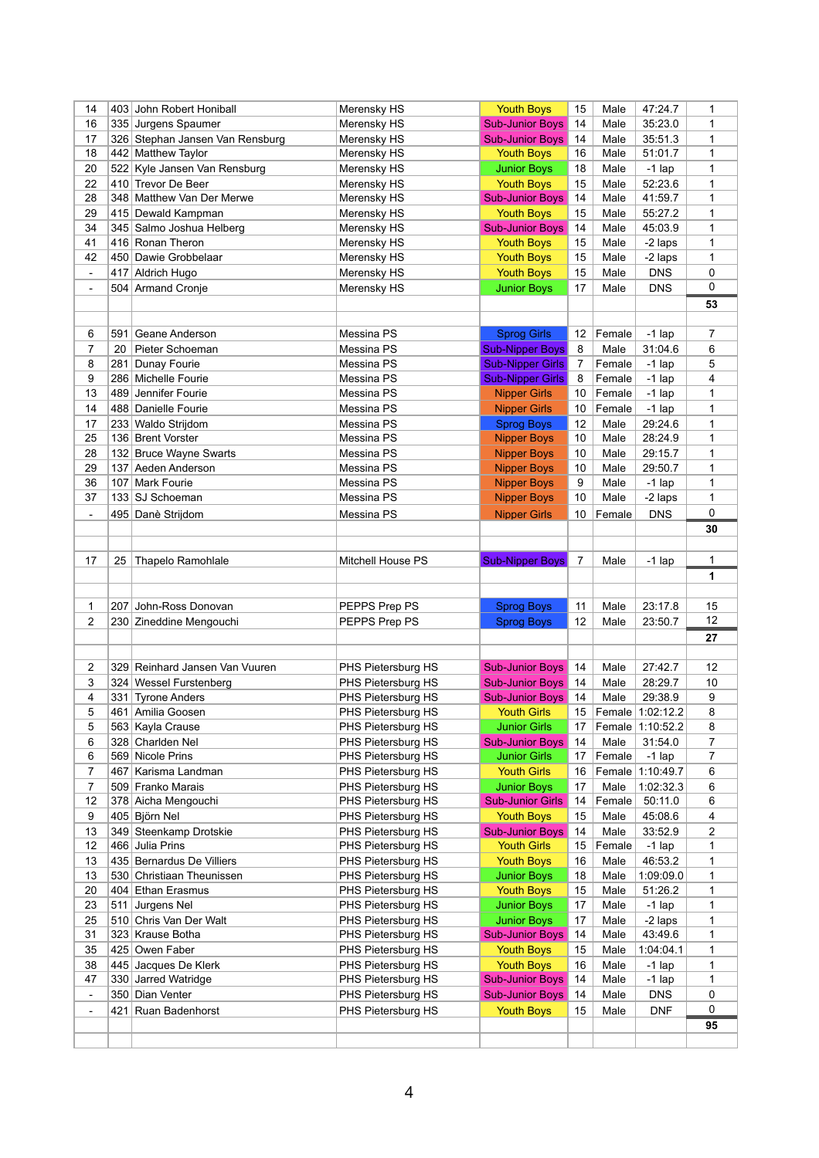| 14             |     | 403 John Robert Honiball        | Merensky HS              | <b>Youth Boys</b>       | 15             | Male   | 47:24.7          | 1                |
|----------------|-----|---------------------------------|--------------------------|-------------------------|----------------|--------|------------------|------------------|
| 16             |     | 335 Jurgens Spaumer             | Merensky HS              | <b>Sub-Junior Boys</b>  | 14             | Male   | 35:23.0          | 1                |
| 17             |     | 326 Stephan Jansen Van Rensburg | Merensky HS              | <b>Sub-Junior Boys</b>  | 14             | Male   | 35:51.3          | 1                |
| 18             |     | 442 Matthew Taylor              | Merensky HS              | <b>Youth Boys</b>       | 16             | Male   | 51:01.7          | 1                |
| 20             |     | 522 Kyle Jansen Van Rensburg    | Merensky HS              | <b>Junior Boys</b>      | 18             | Male   | $-1$ lap         | 1                |
| 22             |     | 410 Trevor De Beer              | Merensky HS              | <b>Youth Boys</b>       | 15             | Male   | 52:23.6          | 1                |
| 28             |     | 348 Matthew Van Der Merwe       | Merensky HS              | <b>Sub-Junior Boys</b>  | 14             | Male   | 41:59.7          | 1                |
| 29             |     | 415 Dewald Kampman              | Merensky HS              | <b>Youth Boys</b>       | 15             | Male   | 55:27.2          | 1                |
| 34             |     | 345 Salmo Joshua Helberg        | Merensky HS              | <b>Sub-Junior Boys</b>  | 14             | Male   | 45:03.9          | 1                |
| 41             |     | 416 Ronan Theron                | Merensky HS              | <b>Youth Boys</b>       | 15             | Male   | -2 laps          | 1                |
| 42             |     | 450 Dawie Grobbelaar            | Merensky HS              | <b>Youth Boys</b>       | 15             | Male   | -2 laps          | 1                |
| $\blacksquare$ | 417 | Aldrich Hugo                    | Merensky HS              | <b>Youth Boys</b>       | 15             | Male   | <b>DNS</b>       | 0                |
| $\blacksquare$ |     | 504 Armand Cronje               | Merensky HS              | <b>Junior Boys</b>      | 17             | Male   | <b>DNS</b>       | 0                |
|                |     |                                 |                          |                         |                |        |                  | 53               |
|                |     |                                 |                          |                         |                |        |                  |                  |
| 6              | 591 | Geane Anderson                  | Messina PS               | <b>Sprog Girls</b>      | 12             | Female | $-1$ lap         | $\overline{7}$   |
| 7              | 20  | Pieter Schoeman                 | Messina PS               | <b>Sub-Nipper Boys</b>  | 8              | Male   | 31:04.6          | 6                |
| 8              | 281 | Dunay Fourie                    | Messina PS               | <b>Sub-Nipper Girls</b> | $\overline{7}$ | Female | $-1$ lap         | 5                |
| 9              |     | 286 Michelle Fourie             | Messina PS               | <b>Sub-Nipper Girls</b> | 8              | Female | $-1$ lap         | 4                |
| 13             |     | 489 Jennifer Fourie             | Messina PS               | <b>Nipper Girls</b>     | 10             | Female | $-1$ lap         | 1                |
| 14             |     | 488 Danielle Fourie             | Messina PS               | <b>Nipper Girls</b>     | 10             | Female | $-1$ lap         | 1                |
| 17             |     | 233 Waldo Strijdom              | Messina PS               | <b>Sprog Boys</b>       | 12             | Male   | 29:24.6          | 1                |
| 25             |     | 136 Brent Vorster               | Messina PS               | <b>Nipper Boys</b>      | 10             | Male   | 28:24.9          | 1                |
| 28             |     | 132 Bruce Wayne Swarts          | Messina PS               | <b>Nipper Boys</b>      | 10             | Male   | 29:15.7          | 1                |
| 29             | 137 | Aeden Anderson                  | Messina PS               | <b>Nipper Boys</b>      | 10             | Male   | 29:50.7          | 1                |
| 36             | 107 | Mark Fourie                     | Messina PS               | <b>Nipper Boys</b>      | 9              | Male   | $-1$ lap         | 1                |
| 37             |     | 133 SJ Schoeman                 | Messina PS               | <b>Nipper Boys</b>      | 10             | Male   | -2 laps          | 1                |
|                |     |                                 |                          |                         |                |        |                  | 0                |
| $\blacksquare$ |     | 495 Danè Strijdom               | Messina PS               | <b>Nipper Girls</b>     | 10             | Female | <b>DNS</b>       | 30               |
|                |     |                                 |                          |                         |                |        |                  |                  |
|                |     |                                 |                          |                         |                |        |                  |                  |
| 17             | 25  | <b>Thapelo Ramohlale</b>        | <b>Mitchell House PS</b> | <b>Sub-Nipper Boys</b>  | $\overline{7}$ | Male   | $-1$ lap         | $\mathbf{1}$     |
|                |     |                                 |                          |                         |                |        |                  | 1                |
|                |     |                                 |                          |                         |                |        |                  |                  |
| 1              |     | 207 John-Ross Donovan           | PEPPS Prep PS            | <b>Sprog Boys</b>       | 11             | Male   | 23:17.8          | 15               |
| 2              |     | 230 Zineddine Mengouchi         | PEPPS Prep PS            | <b>Sprog Boys</b>       | 12             | Male   | 23:50.7          | 12               |
|                |     |                                 |                          |                         |                |        |                  | 27               |
|                |     |                                 |                          |                         |                |        |                  |                  |
| 2              |     | 329 Reinhard Jansen Van Vuuren  | PHS Pietersburg HS       | <b>Sub-Junior Boys</b>  | 14             | Male   | 27:42.7          | 12               |
| 3              |     | 324 Wessel Furstenberg          | PHS Pietersburg HS       | <b>Sub-Junior Boys</b>  | 14             | Male   | 28:29.7          | 10               |
| 4              |     | 331 Tyrone Anders               | PHS Pietersburg HS       | <b>Sub-Junior Boys</b>  | 14             | Male   | 29:38.9          | $\boldsymbol{9}$ |
| 5              |     | 461 Amilia Goosen               | PHS Pietersburg HS       | <b>Youth Girls</b>      | 15             |        | Female 1:02:12.2 | 8                |
| 5              |     | 563 Kayla Crause                | PHS Pietersburg HS       | <b>Junior Girls</b>     | 17             |        | Female 1:10:52.2 | 8                |
| 6              |     | 328 Charlden Nel                | PHS Pietersburg HS       | <b>Sub-Junior Boys</b>  | 14             | Male   | 31:54.0          | $\overline{7}$   |
| 6              |     | 569 Nicole Prins                | PHS Pietersburg HS       | <b>Junior Girls</b>     | 17             | Female | $-1$ lap         | $\overline{7}$   |
| 7              | 467 | Karisma Landman                 | PHS Pietersburg HS       | <b>Youth Girls</b>      | 16             |        | Female 1:10:49.7 | 6                |
| 7              |     | 509 Franko Marais               | PHS Pietersburg HS       | <b>Junior Boys</b>      | 17             | Male   | 1:02:32.3        | 6                |
| 12             |     | 378 Aicha Mengouchi             | PHS Pietersburg HS       | <b>Sub-Junior Girls</b> | 14             | Female | 50:11.0          | 6                |
| 9              |     | 405 Björn Nel                   | PHS Pietersburg HS       | <b>Youth Boys</b>       | 15             | Male   | 45:08.6          | 4                |
| 13             |     | 349 Steenkamp Drotskie          | PHS Pietersburg HS       | <b>Sub-Junior Boys</b>  | 14             | Male   | 33:52.9          | $\overline{2}$   |
| 12             |     | 466 Julia Prins                 | PHS Pietersburg HS       | <b>Youth Girls</b>      | 15             | Female | $-1$ lap         | 1                |
| 13             |     | 435 Bernardus De Villiers       | PHS Pietersburg HS       | <b>Youth Boys</b>       | 16             | Male   | 46:53.2          | 1                |
| 13             |     | 530 Christiaan Theunissen       | PHS Pietersburg HS       | <b>Junior Boys</b>      | 18             | Male   | 1:09:09.0        | 1                |
| 20             |     | 404 Ethan Erasmus               | PHS Pietersburg HS       | <b>Youth Boys</b>       | 15             | Male   | 51:26.2          | 1                |
| 23             | 511 | Jurgens Nel                     | PHS Pietersburg HS       | <b>Junior Boys</b>      | 17             | Male   | $-1$ lap         | 1                |
| 25             |     | 510 Chris Van Der Walt          | PHS Pietersburg HS       | <b>Junior Boys</b>      | 17             | Male   | -2 laps          | 1                |
| 31             |     | 323 Krause Botha                | PHS Pietersburg HS       | <b>Sub-Junior Boys</b>  | 14             | Male   | 43:49.6          | 1                |
| 35             |     | 425 Owen Faber                  | PHS Pietersburg HS       | <b>Youth Boys</b>       | 15             | Male   | 1:04:04.1        | 1                |
| 38             |     | 445 Jacques De Klerk            | PHS Pietersburg HS       | <b>Youth Boys</b>       | 16             | Male   | $-1$ lap         | 1                |
| 47             |     | 330 Jarred Watridge             | PHS Pietersburg HS       | <b>Sub-Junior Boys</b>  | 14             | Male   | $-1$ lap         | 1                |
| $\blacksquare$ |     | 350 Dian Venter                 | PHS Pietersburg HS       | <b>Sub-Junior Boys</b>  | 14             | Male   | <b>DNS</b>       | 0                |
| $\blacksquare$ |     | 421 Ruan Badenhorst             | PHS Pietersburg HS       | <b>Youth Boys</b>       | 15             | Male   | <b>DNF</b>       | $\mathbf{0}$     |
|                |     |                                 |                          |                         |                |        |                  |                  |
|                |     |                                 |                          |                         |                |        |                  | 95               |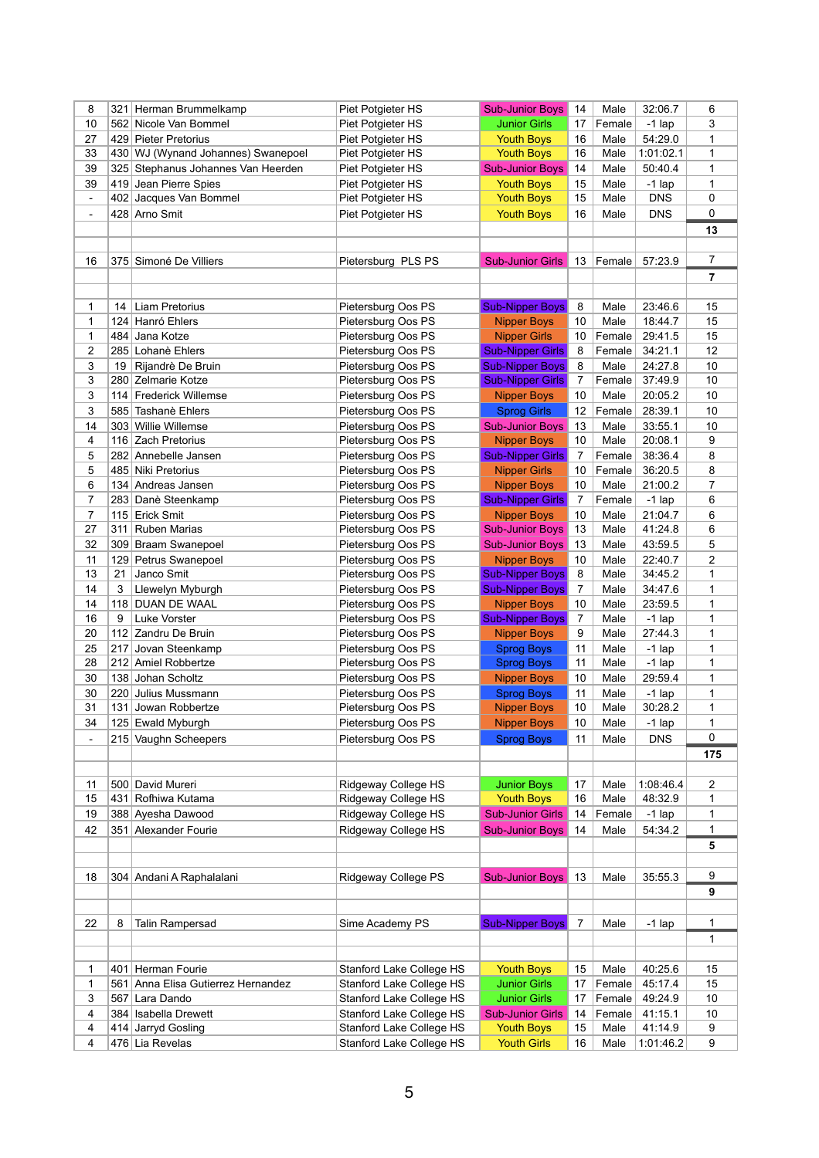| 8                        | 321            | Herman Brummelkamp                 | Piet Potgieter HS               | <b>Sub-Junior Boys</b>  | 14              | Male   | 32:06.7    | 6              |
|--------------------------|----------------|------------------------------------|---------------------------------|-------------------------|-----------------|--------|------------|----------------|
| 10                       |                | 562 Nicole Van Bommel              | Piet Potgieter HS               | <b>Junior Girls</b>     | 17              | Female | $-1$ lap   | 3              |
| 27                       |                | 429 Pieter Pretorius               | Piet Potgieter HS               | <b>Youth Boys</b>       | 16              | Male   | 54:29.0    | 1              |
| 33                       |                | 430 WJ (Wynand Johannes) Swanepoel | Piet Potgieter HS               | <b>Youth Boys</b>       | 16              | Male   | 1:01:02.1  | 1              |
| 39                       |                | 325 Stephanus Johannes Van Heerden | Piet Potgieter HS               | <b>Sub-Junior Boys</b>  | 14              | Male   | 50:40.4    | 1              |
| 39                       |                | 419 Jean Pierre Spies              | Piet Potgieter HS               | <b>Youth Boys</b>       | 15              | Male   | $-1$ lap   | 1              |
| $\overline{\phantom{a}}$ |                | 402 Jacques Van Bommel             | Piet Potgieter HS               | <b>Youth Boys</b>       | 15              | Male   | <b>DNS</b> | 0              |
| $\blacksquare$           |                | 428 Arno Smit                      | Piet Potgieter HS               | <b>Youth Boys</b>       | 16              | Male   | <b>DNS</b> | 0              |
|                          |                |                                    |                                 |                         |                 |        |            |                |
|                          |                |                                    |                                 |                         |                 |        |            | 13             |
|                          |                |                                    |                                 |                         |                 |        |            |                |
| 16                       |                | 375 Simoné De Villiers             | Pietersburg PLS PS              | <b>Sub-Junior Girls</b> | 13              | Female | 57:23.9    | $\overline{7}$ |
|                          |                |                                    |                                 |                         |                 |        |            | 7              |
|                          |                |                                    |                                 |                         |                 |        |            |                |
| 1                        | 14             | Liam Pretorius                     | Pietersburg Oos PS              | <b>Sub-Nipper Boys</b>  | 8               | Male   | 23:46.6    | 15             |
| 1                        |                | 124 Hanró Ehlers                   | Pietersburg Oos PS              | <b>Nipper Boys</b>      | 10              | Male   | 18:44.7    | 15             |
| 1                        | 484            | Jana Kotze                         | Pietersburg Oos PS              | <b>Nipper Girls</b>     | 10 <sup>°</sup> | Female | 29:41.5    | 15             |
| 2                        |                | 285 Lohanè Ehlers                  | Pietersburg Oos PS              | <b>Sub-Nipper Girls</b> | 8               | Female | 34:21.1    | 12             |
| 3                        | 19             | Rijandrè De Bruin                  | Pietersburg Oos PS              | <b>Sub-Nipper Boys</b>  | 8               | Male   | 24:27.8    | 10             |
| 3                        |                | 280 Zelmarie Kotze                 | Pietersburg Oos PS              | <b>Sub-Nipper Girls</b> | $\mathbf{7}$    | Female | 37:49.9    | 10             |
| 3                        | 114            | Frederick Willemse                 | Pietersburg Oos PS              | <b>Nipper Boys</b>      | 10              | Male   | 20:05.2    | 10             |
| 3                        |                | 585 Tashanè Ehlers                 | Pietersburg Oos PS              | <b>Sprog Girls</b>      | 12 <sup>2</sup> | Female | 28:39.1    | 10             |
| 14                       |                | 303 Willie Willemse                | Pietersburg Oos PS              | <b>Sub-Junior Boys</b>  | 13              | Male   | 33:55.1    | 10             |
| 4                        | 116            | Zach Pretorius                     | Pietersburg Oos PS              | <b>Nipper Boys</b>      | 10              | Male   | 20:08.1    | 9              |
| 5                        |                | 282 Annebelle Jansen               | Pietersburg Oos PS              | <b>Sub-Nipper Girls</b> | $\overline{7}$  | Female | 38:36.4    | 8              |
| 5                        |                | 485 Niki Pretorius                 | Pietersburg Oos PS              | <b>Nipper Girls</b>     | 10 <sup>°</sup> | Female | 36:20.5    | 8              |
| 6                        |                | 134 Andreas Jansen                 | Pietersburg Oos PS              | <b>Nipper Boys</b>      | 10              | Male   | 21:00.2    | 7              |
| 7                        |                | 283 Danè Steenkamp                 | Pietersburg Oos PS              | <b>Sub-Nipper Girls</b> | 7               | Female | $-1$ lap   | 6              |
|                          |                |                                    |                                 |                         |                 |        |            |                |
| 7                        | 115            | Erick Smit                         | Pietersburg Oos PS              | <b>Nipper Boys</b>      | 10              | Male   | 21:04.7    | 6              |
| 27                       | 311            | <b>Ruben Marias</b>                | Pietersburg Oos PS              | <b>Sub-Junior Boys</b>  | 13              | Male   | 41:24.8    | 6              |
| 32                       |                | 309 Braam Swanepoel                | Pietersburg Oos PS              | <b>Sub-Junior Boys</b>  | 13              | Male   | 43:59.5    | 5              |
| 11                       |                | 129 Petrus Swanepoel               | Pietersburg Oos PS              | <b>Nipper Boys</b>      | 10              | Male   | 22:40.7    | 2              |
| 13                       | 21             | Janco Smit                         | Pietersburg Oos PS              | <b>Sub-Nipper Boys</b>  | 8               | Male   | 34:45.2    | 1              |
| 14                       | 3 <sup>7</sup> | Llewelyn Myburgh                   | Pietersburg Oos PS              | <b>Sub-Nipper Boys</b>  | $\overline{7}$  | Male   | 34:47.6    | $\mathbf 1$    |
| 14                       | 118            | <b>DUAN DE WAAL</b>                | Pietersburg Oos PS              | <b>Nipper Boys</b>      | 10              | Male   | 23:59.5    | 1              |
| 16                       | 9              | Luke Vorster                       | Pietersburg Oos PS              | <b>Sub-Nipper Boys</b>  | 7               | Male   | $-1$ lap   | 1              |
| 20                       | 112            | Zandru De Bruin                    | Pietersburg Oos PS              | <b>Nipper Boys</b>      | 9               | Male   | 27:44.3    | 1              |
| 25                       | 217            | Jovan Steenkamp                    | Pietersburg Oos PS              | <b>Sprog Boys</b>       | 11              | Male   | $-1$ lap   | 1              |
| 28                       |                | 212 Amiel Robbertze                | Pietersburg Oos PS              | <b>Sprog Boys</b>       | 11              | Male   | $-1$ lap   | 1              |
| 30                       |                | 138 Johan Scholtz                  | Pietersburg Oos PS              | <b>Nipper Boys</b>      | 10 <sup>°</sup> | Male   | 29:59.4    | 1              |
| 30                       |                | 220 Julius Mussmann                | Pietersburg Oos PS              | <b>Sprog Boys</b>       | 11              | Male   | $-1$ lap   | 1              |
| 31                       | 131            | Jowan Robbertze                    | Pietersburg Oos PS              | <b>Nipper Boys</b>      | 10              | Male   | 30:28.2    | 1              |
| 34                       |                | 125 Ewald Myburgh                  | Pietersburg Oos PS              | <b>Nipper Boys</b>      | 10 <sup>°</sup> | Male   | $-1$ lap   | 1              |
| $\blacksquare$           |                | 215 Vaughn Scheepers               | Pietersburg Oos PS              | <b>Sprog Boys</b>       | 11              | Male   | <b>DNS</b> | 0              |
|                          |                |                                    |                                 |                         |                 |        |            | 175            |
|                          |                |                                    |                                 |                         |                 |        |            |                |
| 11                       |                | 500 David Mureri                   | Ridgeway College HS             | <b>Junior Boys</b>      | 17              | Male   | 1:08:46.4  | 2              |
| 15                       | 431            | Rofhiwa Kutama                     | Ridgeway College HS             | <b>Youth Boys</b>       | 16              | Male   | 48:32.9    | 1              |
| 19                       |                | 388 Ayesha Dawood                  | Ridgeway College HS             | <b>Sub-Junior Girls</b> | 14              | Female | $-1$ lap   | 1              |
| 42                       | 351            | Alexander Fourie                   | Ridgeway College HS             | <b>Sub-Junior Boys</b>  | 14              | Male   | 54:34.2    | 1              |
|                          |                |                                    |                                 |                         |                 |        |            |                |
|                          |                |                                    |                                 |                         |                 |        |            | 5              |
|                          |                |                                    |                                 |                         |                 |        |            |                |
| 18                       |                | 304 Andani A Raphalalani           | Ridgeway College PS             | <b>Sub-Junior Boys</b>  | 13              | Male   | 35:55.3    | 9              |
|                          |                |                                    |                                 |                         |                 |        |            | 9              |
|                          |                |                                    |                                 |                         |                 |        |            |                |
| 22                       | 8              | <b>Talin Rampersad</b>             | Sime Academy PS                 | <b>Sub-Nipper Boys</b>  | $\mathbf{7}$    | Male   | $-1$ lap   | 1              |
|                          |                |                                    |                                 |                         |                 |        |            | 1              |
|                          |                |                                    |                                 |                         |                 |        |            |                |
| 1                        | 401            | Herman Fourie                      | <b>Stanford Lake College HS</b> | <b>Youth Boys</b>       | 15              | Male   | 40:25.6    | 15             |
| 1                        | 561            | Anna Elisa Gutierrez Hernandez     | Stanford Lake College HS        | <b>Junior Girls</b>     | 17              | Female | 45:17.4    | 15             |
| 3                        |                | 567 Lara Dando                     | <b>Stanford Lake College HS</b> | <b>Junior Girls</b>     | 17              | Female | 49:24.9    | 10             |
| 4                        |                | 384 Isabella Drewett               | <b>Stanford Lake College HS</b> | <b>Sub-Junior Girls</b> | 14              | Female | 41:15.1    | 10             |
| 4                        | 414            | Jarryd Gosling                     | <b>Stanford Lake College HS</b> | <b>Youth Boys</b>       | 15              | Male   | 41:14.9    | 9              |
| 4                        |                | 476 Lia Revelas                    | Stanford Lake College HS        | <b>Youth Girls</b>      | 16              | Male   | 1:01:46.2  | 9              |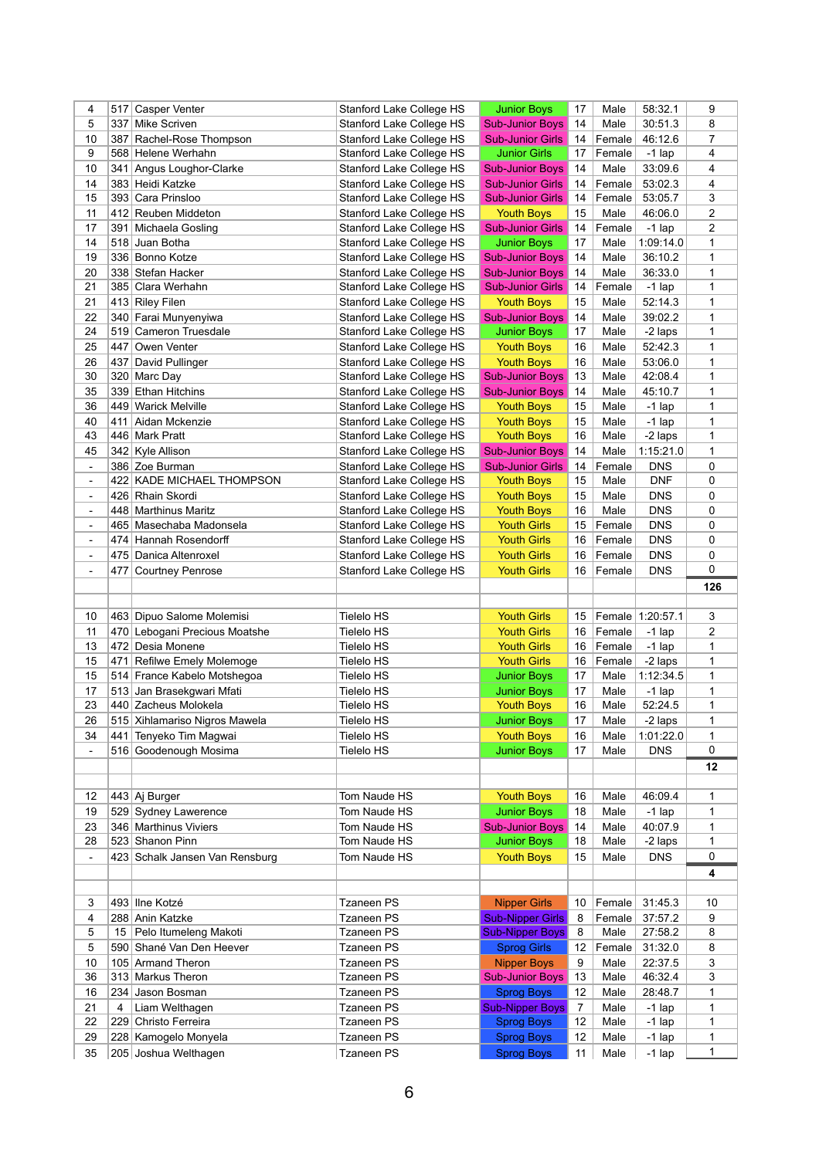| 4                            | 517            | <b>Casper Venter</b>                         | <b>Stanford Lake College HS</b> | <b>Junior Boys</b>                     | 17              | Male   | 58:32.1              | 9              |
|------------------------------|----------------|----------------------------------------------|---------------------------------|----------------------------------------|-----------------|--------|----------------------|----------------|
| 5                            | 337            | Mike Scriven                                 | <b>Stanford Lake College HS</b> | <b>Sub-Junior Boys</b>                 | 14              | Male   | 30:51.3              | 8              |
| 10                           | 387            | Rachel-Rose Thompson                         | <b>Stanford Lake College HS</b> | <b>Sub-Junior Girls</b>                | 14              | Female | 46:12.6              | $\overline{7}$ |
| 9                            |                | 568 Helene Werhahn                           | Stanford Lake College HS        | <b>Junior Girls</b>                    | 17              | Female | $-1$ lap             | 4              |
| 10                           | 341            | Angus Loughor-Clarke                         | Stanford Lake College HS        | <b>Sub-Junior Boys</b>                 | 14              | Male   | 33:09.6              | 4              |
| 14                           |                | 383 Heidi Katzke                             | <b>Stanford Lake College HS</b> | <b>Sub-Junior Girls</b>                | 14              | Female | 53:02.3              | 4              |
| 15                           |                | 393 Cara Prinsloo                            | Stanford Lake College HS        | <b>Sub-Junior Girls</b>                | 14              | Female | 53:05.7              | 3              |
| 11                           |                | 412 Reuben Middeton                          | <b>Stanford Lake College HS</b> | <b>Youth Boys</b>                      | 15              | Male   | 46:06.0              | $\overline{c}$ |
| 17                           |                |                                              | <b>Stanford Lake College HS</b> | <b>Sub-Junior Girls</b>                |                 |        |                      | $\overline{2}$ |
|                              | 391            | Michaela Gosling                             |                                 |                                        | 14              | Female | $-1$ lap             |                |
| 14                           |                | 518 Juan Botha                               | Stanford Lake College HS        | <b>Junior Boys</b>                     | 17              | Male   | 1:09:14.0            | 1              |
| 19                           |                | 336 Bonno Kotze                              | <b>Stanford Lake College HS</b> | <b>Sub-Junior Boys</b>                 | 14              | Male   | 36:10.2              | 1              |
| 20                           |                | 338 Stefan Hacker                            | <b>Stanford Lake College HS</b> | <b>Sub-Junior Boys</b>                 | 14              | Male   | 36:33.0              | 1              |
| 21                           |                | 385 Clara Werhahn                            | Stanford Lake College HS        | <b>Sub-Junior Girls</b>                | 14              | Female | $-1$ lap             | 1              |
| 21                           |                | 413 Riley Filen                              | <b>Stanford Lake College HS</b> | <b>Youth Boys</b>                      | 15              | Male   | 52:14.3              | 1              |
| 22                           |                | 340 Farai Munyenyiwa                         | <b>Stanford Lake College HS</b> | <b>Sub-Junior Boys</b>                 | 14              | Male   | 39:02.2              | 1              |
| 24                           |                | 519 Cameron Truesdale                        | Stanford Lake College HS        | <b>Junior Boys</b>                     | 17              | Male   | -2 laps              | 1              |
| 25                           | 447            | Owen Venter                                  | <b>Stanford Lake College HS</b> | <b>Youth Boys</b>                      | 16              | Male   | 52:42.3              | 1              |
| 26                           | 437            | David Pullinger                              | Stanford Lake College HS        | <b>Youth Boys</b>                      | 16              | Male   | 53:06.0              | 1              |
| 30                           | 320            | Marc Day                                     | <b>Stanford Lake College HS</b> | <b>Sub-Junior Boys</b>                 | 13              | Male   | 42:08.4              | 1              |
| 35                           |                | 339 Ethan Hitchins                           | Stanford Lake College HS        | <b>Sub-Junior Boys</b>                 | 14              | Male   | 45:10.7              | 1              |
| 36                           |                | 449 Warick Melville                          | <b>Stanford Lake College HS</b> | <b>Youth Boys</b>                      | 15              | Male   | $-1$ lap             | 1              |
|                              |                |                                              |                                 |                                        |                 |        |                      |                |
| 40                           | 411            | Aidan Mckenzie                               | <b>Stanford Lake College HS</b> | <b>Youth Boys</b>                      | 15              | Male   | $-1$ lap             | 1              |
| 43                           |                | 446 Mark Pratt                               | Stanford Lake College HS        | <b>Youth Boys</b>                      | 16              | Male   | -2 laps              | 1              |
| 45                           |                | 342 Kyle Allison                             | Stanford Lake College HS        | <b>Sub-Junior Boys</b>                 | 14              | Male   | 1:15:21.0            | 1              |
| $\blacksquare$               |                | 386 Zoe Burman                               | <b>Stanford Lake College HS</b> | <b>Sub-Junior Girls</b>                | 14              | Female | <b>DNS</b>           | $\pmb{0}$      |
| $\blacksquare$               | 422            | <b>KADE MICHAEL THOMPSON</b>                 | Stanford Lake College HS        | <b>Youth Boys</b>                      | 15              | Male   | <b>DNF</b>           | 0              |
| $\blacksquare$               |                | 426 Rhain Skordi                             | Stanford Lake College HS        | <b>Youth Boys</b>                      | 15              | Male   | <b>DNS</b>           | 0              |
| $\blacksquare$               |                | 448 Marthinus Maritz                         | <b>Stanford Lake College HS</b> | <b>Youth Boys</b>                      | 16              | Male   | <b>DNS</b>           | 0              |
| $\blacksquare$               |                | 465 Masechaba Madonsela                      | Stanford Lake College HS        | <b>Youth Girls</b>                     | 15              | Female | <b>DNS</b>           | 0              |
| $\blacksquare$               | 474            | Hannah Rosendorff                            | <b>Stanford Lake College HS</b> | <b>Youth Girls</b>                     | 16              | Female | <b>DNS</b>           | 0              |
| $\blacksquare$               |                | 475 Danica Altenroxel                        | Stanford Lake College HS        | <b>Youth Girls</b>                     | 16              | Female | <b>DNS</b>           | 0              |
| $\qquad \qquad \blacksquare$ | 477            | <b>Courtney Penrose</b>                      | Stanford Lake College HS        | <b>Youth Girls</b>                     | 16              | Female | <b>DNS</b>           | 0              |
|                              |                |                                              |                                 |                                        |                 |        |                      |                |
|                              |                |                                              |                                 |                                        |                 |        |                      |                |
|                              |                |                                              |                                 |                                        |                 |        |                      | 126            |
|                              |                |                                              |                                 |                                        |                 |        |                      |                |
| 10                           |                | 463 Dipuo Salome Molemisi                    | <b>Tielelo HS</b>               | <b>Youth Girls</b>                     | 15              |        | Female 1:20:57.1     | 3              |
| 11                           |                | 470 Lebogani Precious Moatshe                | <b>Tielelo HS</b>               | <b>Youth Girls</b>                     | 16              | Female | $-1$ lap             | $\overline{2}$ |
| 13                           |                | 472 Desia Monene                             | <b>Tielelo HS</b>               | <b>Youth Girls</b>                     | 16              | Female | $-1$ lap             | 1              |
| 15                           |                | 471 Refilwe Emely Molemoge                   | <b>Tielelo HS</b>               | <b>Youth Girls</b>                     | 16              | Female | -2 laps              | 1              |
| 15                           |                | 514 France Kabelo Motshegoa                  | <b>Tielelo HS</b>               | <b>Junior Boys</b>                     | 17              | Male   | 1:12:34.5            | 1              |
| 17                           |                | 513 Jan Brasekgwari Mfati                    | <b>Tielelo HS</b>               | <b>Junior Boys</b>                     | 17              | Male   | $-1$ lap             | $\mathbf 1$    |
| 23                           |                | 440 Zacheus Molokela                         | <b>Tielelo HS</b>               | <b>Youth Boys</b>                      | 16              | Male   | 52:24.5              | 1              |
| 26                           |                | 515 Xihlamariso Nigros Mawela                | <b>Tielelo HS</b>               | <b>Junior Boys</b>                     | 17              | Male   | -2 laps              | 1              |
| 34                           | 441            | Tenyeko Tim Magwai                           | <b>Tielelo HS</b>               | <b>Youth Boys</b>                      | 16              | Male   | 1:01:22.0            | $\mathbf 1$    |
| $\blacksquare$               |                | 516 Goodenough Mosima                        | <b>Tielelo HS</b>               | <b>Junior Boys</b>                     | 17              | Male   | <b>DNS</b>           | 0              |
|                              |                |                                              |                                 |                                        |                 |        |                      |                |
|                              |                |                                              |                                 |                                        |                 |        |                      | 12             |
|                              |                |                                              | Tom Naude HS                    |                                        | 16              |        | 46:09.4              | $\mathbf 1$    |
| 12                           |                | 443 Aj Burger                                |                                 | <b>Youth Boys</b>                      |                 | Male   |                      |                |
| 19                           |                | 529 Sydney Lawerence                         | Tom Naude HS                    | <b>Junior Boys</b>                     | 18              | Male   | $-1$ lap             | 1              |
| 23                           |                | 346 Marthinus Viviers                        | Tom Naude HS                    | <b>Sub-Junior Boys</b>                 | 14              | Male   | 40:07.9              | 1              |
| 28                           |                | 523 Shanon Pinn                              | Tom Naude HS                    | <b>Junior Boys</b>                     | 18              | Male   | -2 laps              | 1              |
| $\blacksquare$               |                | 423 Schalk Jansen Van Rensburg               | Tom Naude HS                    | <b>Youth Boys</b>                      | 15              | Male   | <b>DNS</b>           | 0              |
|                              |                |                                              |                                 |                                        |                 |        |                      | 4              |
|                              |                |                                              |                                 |                                        |                 |        |                      |                |
| 3                            |                | 493 Ilne Kotzé                               | <b>Tzaneen PS</b>               | <b>Nipper Girls</b>                    | 10 <sup>1</sup> | Female | 31:45.3              | 10             |
| 4                            |                | 288 Anin Katzke                              | <b>Tzaneen PS</b>               | <b>Sub-Nipper Girls</b>                | 8               | Female | 37:57.2              | 9              |
| 5                            | 15             | Pelo Itumeleng Makoti                        | <b>Tzaneen PS</b>               | <b>Sub-Nipper Boys</b>                 | 8               | Male   | 27:58.2              | 8              |
| 5                            |                | 590 Shané Van Den Heever                     | <b>Tzaneen PS</b>               | <b>Sprog Girls</b>                     | 12              | Female | 31:32.0              | 8              |
| 10                           |                | 105 Armand Theron                            | <b>Tzaneen PS</b>               | <b>Nipper Boys</b>                     | 9               | Male   | 22:37.5              | 3              |
| 36                           |                | 313 Markus Theron                            | <b>Tzaneen PS</b>               | <b>Sub-Junior Boys</b>                 | 13              | Male   | 46:32.4              | 3              |
| 16                           |                | 234 Jason Bosman                             | <b>Tzaneen PS</b>               | <b>Sprog Boys</b>                      | 12              | Male   | 28:48.7              | 1              |
| 21                           | $\overline{4}$ | Liam Welthagen                               | <b>Tzaneen PS</b>               | <b>Sub-Nipper Boys</b>                 | $\overline{7}$  | Male   | $-1$ lap             | 1              |
| 22                           |                | 229 Christo Ferreira                         | <b>Tzaneen PS</b>               | <b>Sprog Boys</b>                      | 12              | Male   | $-1$ lap             | 1              |
|                              |                |                                              | <b>Tzaneen PS</b>               |                                        | 12              | Male   |                      | 1              |
| 29<br>35                     |                | 228 Kamogelo Monyela<br>205 Joshua Welthagen | <b>Tzaneen PS</b>               | <b>Sprog Boys</b><br><b>Sprog Boys</b> | 11              | Male   | $-1$ lap<br>$-1$ lap | 1              |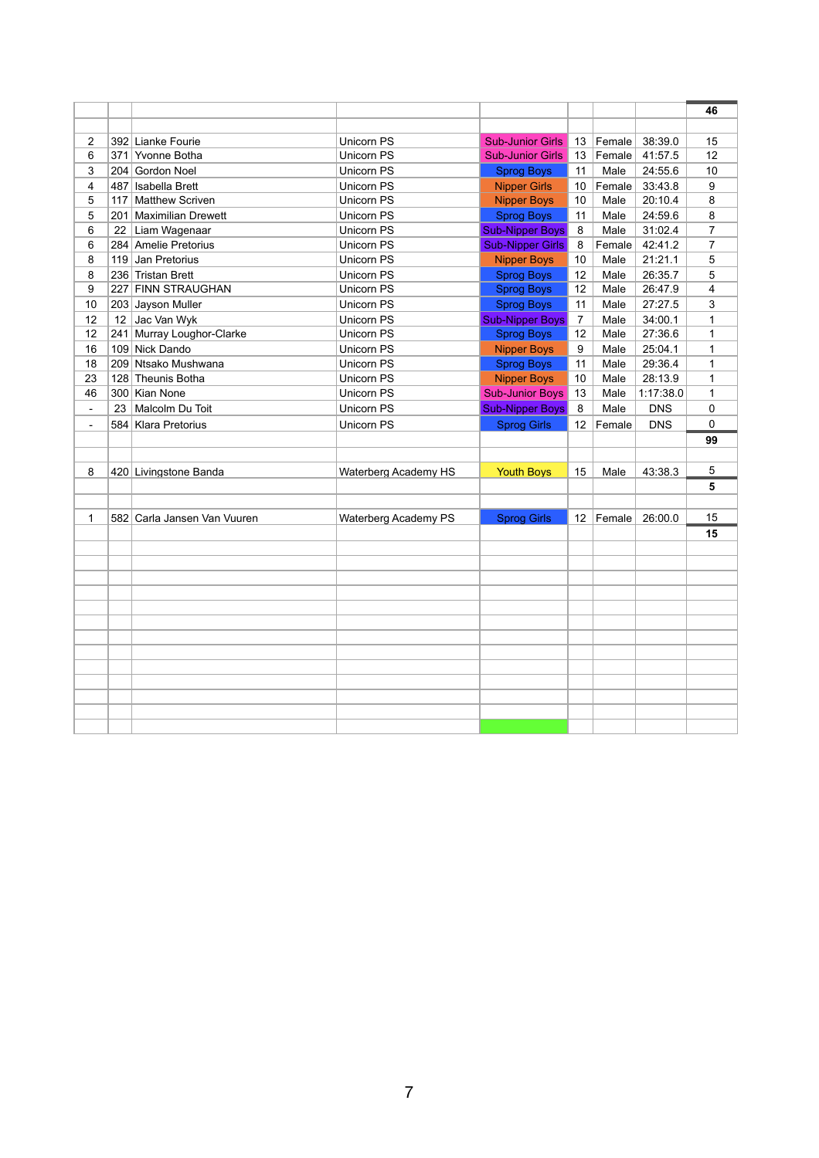|                     |     |                             |                                 |                         |                 |        |                    | 46             |
|---------------------|-----|-----------------------------|---------------------------------|-------------------------|-----------------|--------|--------------------|----------------|
|                     |     | 392 Lianke Fourie           | Unicorn PS                      | <b>Sub-Junior Girls</b> |                 | Female | 38:39.0            | 15             |
| $\overline{2}$<br>6 | 371 | Yvonne Botha                | <b>Unicorn PS</b>               | <b>Sub-Junior Girls</b> | 13<br>13        | Female | 41:57.5            | 12             |
|                     |     |                             | <b>Unicorn PS</b>               |                         | 11              | Male   |                    | 10             |
| 3                   |     | 204 Gordon Noel             |                                 | <b>Sprog Boys</b>       |                 |        | 24:55.6            |                |
| 4                   | 487 | Isabella Brett              | Unicorn PS<br><b>Unicorn PS</b> | <b>Nipper Girls</b>     | 10              | Female | 33:43.8<br>20:10.4 | 9              |
| 5                   | 117 | <b>Matthew Scriven</b>      |                                 | <b>Nipper Boys</b>      | 10              | Male   |                    | 8              |
| 5                   |     | 201 Maximilian Drewett      | <b>Unicorn PS</b>               | <b>Sprog Boys</b>       | 11              | Male   | 24:59.6            | 8              |
| 6                   | 22  | Liam Wagenaar               | <b>Unicorn PS</b>               | <b>Sub-Nipper Boys</b>  | 8               | Male   | 31:02.4            | $\overline{7}$ |
| 6                   |     | 284 Amelie Pretorius        | Unicorn PS                      | <b>Sub-Nipper Girls</b> | 8               | Female | 42:41.2            | 7              |
| 8                   | 119 | Jan Pretorius               | <b>Unicorn PS</b>               | <b>Nipper Boys</b>      | 10              | Male   | 21:21.1            | 5              |
| 8                   |     | 236 Tristan Brett           | <b>Unicorn PS</b>               | <b>Sprog Boys</b>       | 12              | Male   | 26:35.7            | 5              |
| 9                   |     | 227 FINN STRAUGHAN          | <b>Unicorn PS</b>               | <b>Sprog Boys</b>       | 12              | Male   | 26:47.9            | 4              |
| 10                  |     | 203 Jayson Muller           | <b>Unicorn PS</b>               | <b>Sprog Boys</b>       | 11              | Male   | 27:27.5            | 3              |
| 12                  | 12  | Jac Van Wyk                 | <b>Unicorn PS</b>               | <b>Sub-Nipper Boys</b>  | $\overline{7}$  | Male   | 34:00.1            | $\mathbf{1}$   |
| 12                  | 241 | Murray Loughor-Clarke       | <b>Unicorn PS</b>               | <b>Sprog Boys</b>       | 12              | Male   | 27:36.6            | $\mathbf{1}$   |
| 16                  |     | 109 Nick Dando              | <b>Unicorn PS</b>               | <b>Nipper Boys</b>      | 9               | Male   | 25:04.1            | 1              |
| 18                  | 209 | Ntsako Mushwana             | <b>Unicorn PS</b>               | <b>Sprog Boys</b>       | 11              | Male   | 29:36.4            | 1              |
| 23                  |     | 128 Theunis Botha           | Unicorn PS                      | <b>Nipper Boys</b>      | 10              | Male   | 28:13.9            | 1              |
| 46                  |     | 300 Kian None               | <b>Unicorn PS</b>               | <b>Sub-Junior Boys</b>  | 13              | Male   | 1:17:38.0          | 1              |
| $\blacksquare$      | 23  | Malcolm Du Toit             | Unicorn PS                      | <b>Sub-Nipper Boys</b>  | 8               | Male   | <b>DNS</b>         | 0              |
| $\blacksquare$      |     | 584 Klara Pretorius         | <b>Unicorn PS</b>               | <b>Sprog Girls</b>      | 12 <sup>2</sup> | Female | <b>DNS</b>         | 0              |
|                     |     |                             |                                 |                         |                 |        |                    | 99             |
|                     |     |                             |                                 |                         |                 |        |                    |                |
| 8                   |     | 420 Livingstone Banda       | Waterberg Academy HS            | <b>Youth Boys</b>       | 15              | Male   | 43:38.3            | 5              |
|                     |     |                             |                                 |                         |                 |        |                    | 5              |
|                     |     |                             |                                 |                         |                 |        |                    |                |
| 1                   |     | 582 Carla Jansen Van Vuuren | <b>Waterberg Academy PS</b>     | <b>Sprog Girls</b>      | 12 <sup>2</sup> | Female | 26:00.0            | 15             |
|                     |     |                             |                                 |                         |                 |        |                    | 15             |
|                     |     |                             |                                 |                         |                 |        |                    |                |
|                     |     |                             |                                 |                         |                 |        |                    |                |
|                     |     |                             |                                 |                         |                 |        |                    |                |
|                     |     |                             |                                 |                         |                 |        |                    |                |
|                     |     |                             |                                 |                         |                 |        |                    |                |
|                     |     |                             |                                 |                         |                 |        |                    |                |
|                     |     |                             |                                 |                         |                 |        |                    |                |
|                     |     |                             |                                 |                         |                 |        |                    |                |
|                     |     |                             |                                 |                         |                 |        |                    |                |
|                     |     |                             |                                 |                         |                 |        |                    |                |
|                     |     |                             |                                 |                         |                 |        |                    |                |
|                     |     |                             |                                 |                         |                 |        |                    |                |
|                     |     |                             |                                 |                         |                 |        |                    |                |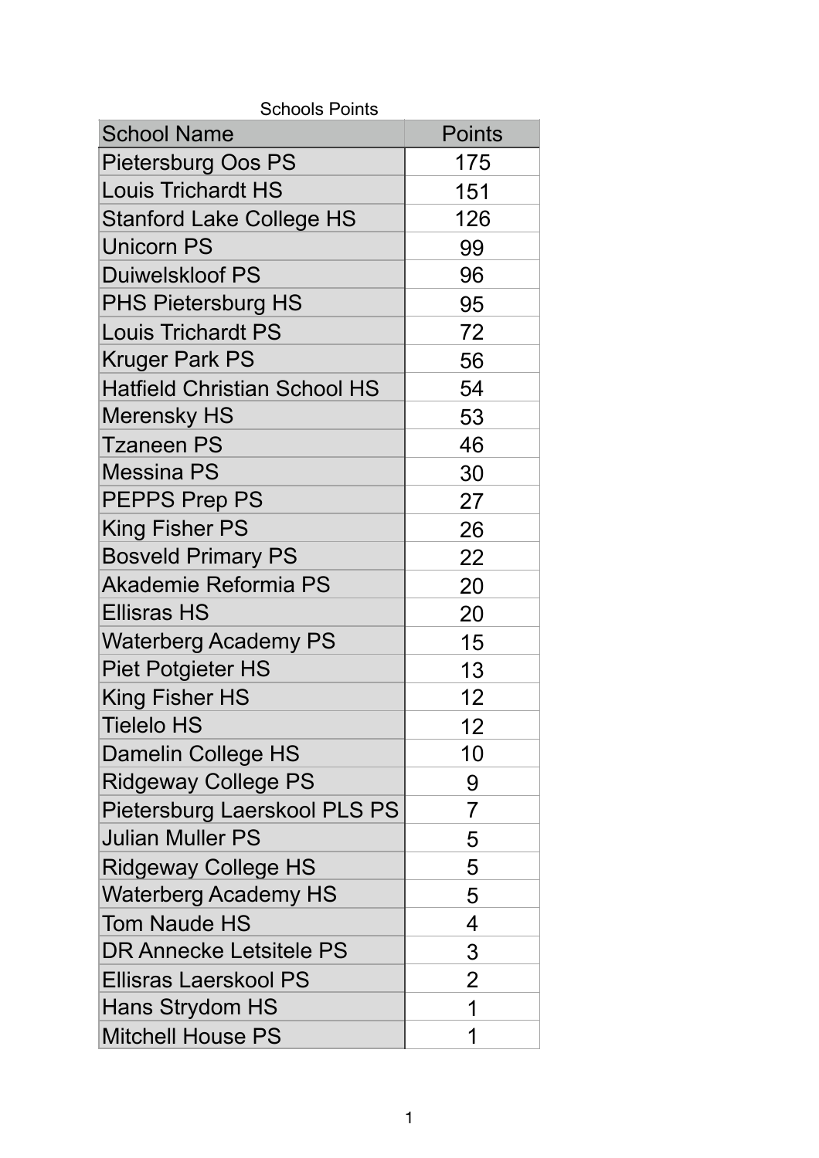| <b>School Name</b>                  | <b>Points</b>  |
|-------------------------------------|----------------|
| <b>Pietersburg Oos PS</b>           | 175            |
| <b>Louis Trichardt HS</b>           | 151            |
| <b>Stanford Lake College HS</b>     | 126            |
| <b>Unicorn PS</b>                   | 99             |
| <b>Duiwelskloof PS</b>              | 96             |
| <b>PHS Pietersburg HS</b>           | 95             |
| <b>Louis Trichardt PS</b>           | 72             |
| <b>Kruger Park PS</b>               | 56             |
| <b>Hatfield Christian School HS</b> | 54             |
| <b>Merensky HS</b>                  | 53             |
| <b>Tzaneen PS</b>                   | 46             |
| <b>Messina PS</b>                   | 30             |
| <b>PEPPS Prep PS</b>                | 27             |
| <b>King Fisher PS</b>               | 26             |
| <b>Bosveld Primary PS</b>           | 22             |
| <b>Akademie Reformia PS</b>         | 20             |
| <b>Ellisras HS</b>                  | 20             |
| <b>Waterberg Academy PS</b>         | 15             |
| <b>Piet Potgieter HS</b>            | 13             |
| <b>King Fisher HS</b>               | 12             |
| Tielelo HS                          | 12             |
| Damelin College HS                  | 10             |
| <b>Ridgeway College PS</b>          | 9              |
| Pietersburg Laerskool PLS PS        | 7              |
| <b>Julian Muller PS</b>             | 5              |
| <b>Ridgeway College HS</b>          | 5              |
| <b>Waterberg Academy HS</b>         | 5              |
| <b>Tom Naude HS</b>                 | 4              |
| <b>DR Annecke Letsitele PS</b>      | 3              |
| <b>Ellisras Laerskool PS</b>        | $\overline{2}$ |
| Hans Strydom HS                     | 1              |
| <b>Mitchell House PS</b>            | 1              |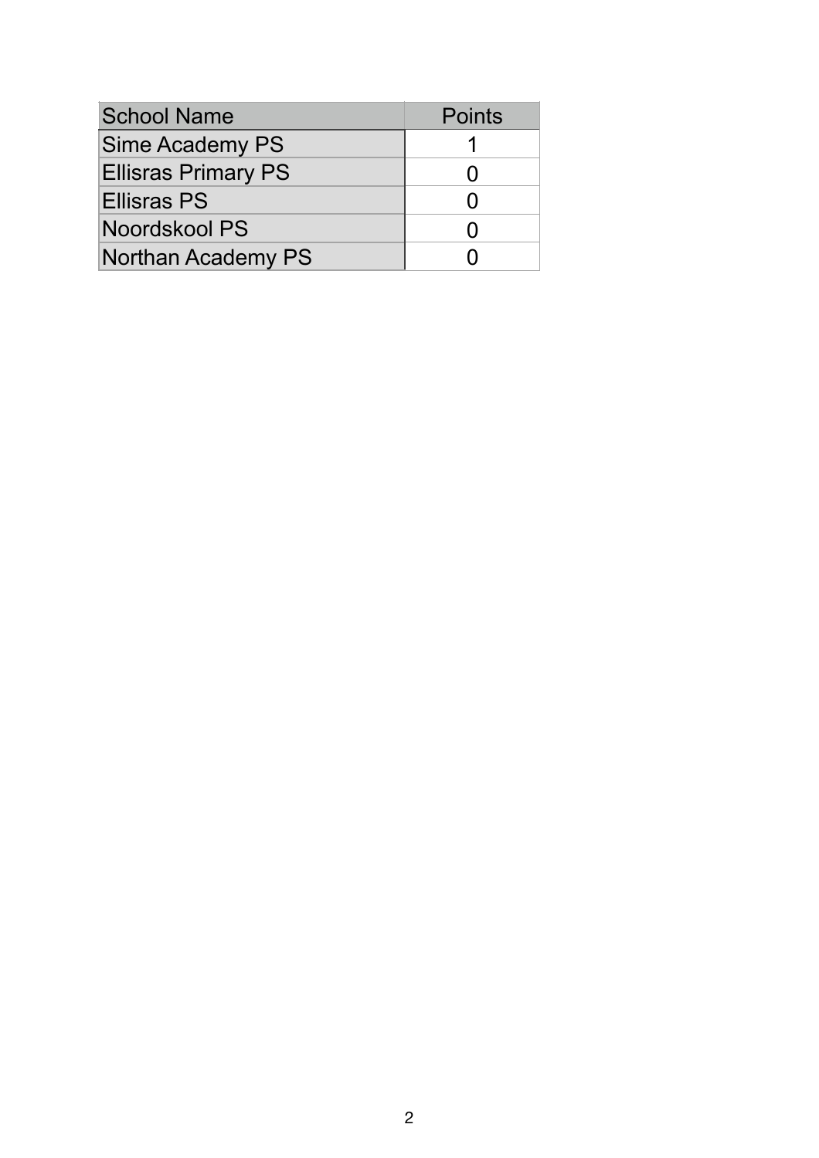| <b>School Name</b>         | <b>Points</b> |
|----------------------------|---------------|
| <b>Sime Academy PS</b>     |               |
| <b>Ellisras Primary PS</b> |               |
| <b>Ellisras PS</b>         |               |
| Noordskool PS              |               |
| <b>Northan Academy PS</b>  |               |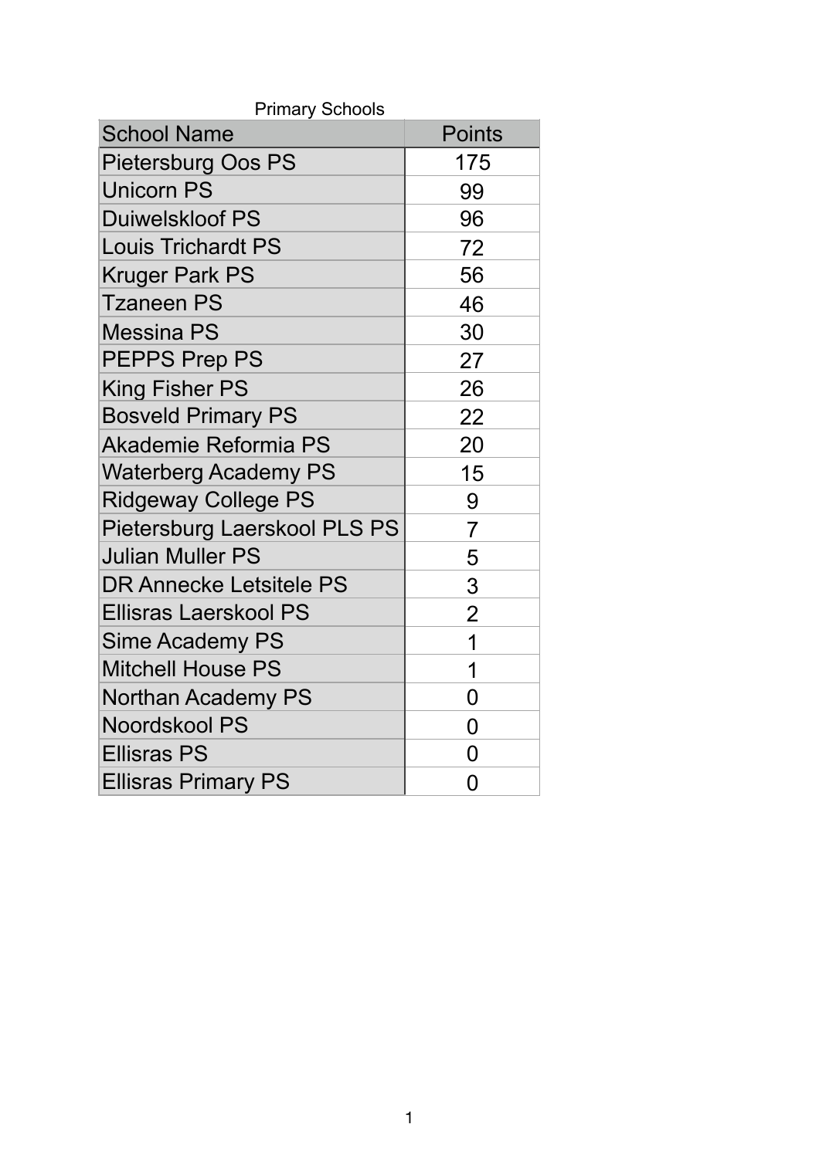| <b>Primary Schools</b>       |                |  |  |  |  |
|------------------------------|----------------|--|--|--|--|
| <b>School Name</b>           | <b>Points</b>  |  |  |  |  |
| <b>Pietersburg Oos PS</b>    | 175            |  |  |  |  |
| <b>Unicorn PS</b>            | 99             |  |  |  |  |
| Duiwelskloof PS              | 96             |  |  |  |  |
| <b>Louis Trichardt PS</b>    | 72             |  |  |  |  |
| <b>Kruger Park PS</b>        | 56             |  |  |  |  |
| <b>Tzaneen PS</b>            | 46             |  |  |  |  |
| <b>Messina PS</b>            | 30             |  |  |  |  |
| <b>PEPPS Prep PS</b>         | 27             |  |  |  |  |
| <b>King Fisher PS</b>        | 26             |  |  |  |  |
| <b>Bosveld Primary PS</b>    | 22             |  |  |  |  |
| <b>Akademie Reformia PS</b>  | 20             |  |  |  |  |
| <b>Waterberg Academy PS</b>  | 15             |  |  |  |  |
| <b>Ridgeway College PS</b>   | 9              |  |  |  |  |
| Pietersburg Laerskool PLS PS | 7              |  |  |  |  |
| Julian Muller PS             | 5              |  |  |  |  |
| DR Annecke Letsitele PS      | 3              |  |  |  |  |
| Ellisras Laerskool PS        | $\overline{2}$ |  |  |  |  |
| Sime Academy PS              | 1              |  |  |  |  |
| <b>Mitchell House PS</b>     | 1              |  |  |  |  |
| <b>Northan Academy PS</b>    | 0              |  |  |  |  |
| <b>Noordskool PS</b>         | 0              |  |  |  |  |
| <b>Ellisras PS</b>           | 0              |  |  |  |  |
| <b>Ellisras Primary PS</b>   | 0              |  |  |  |  |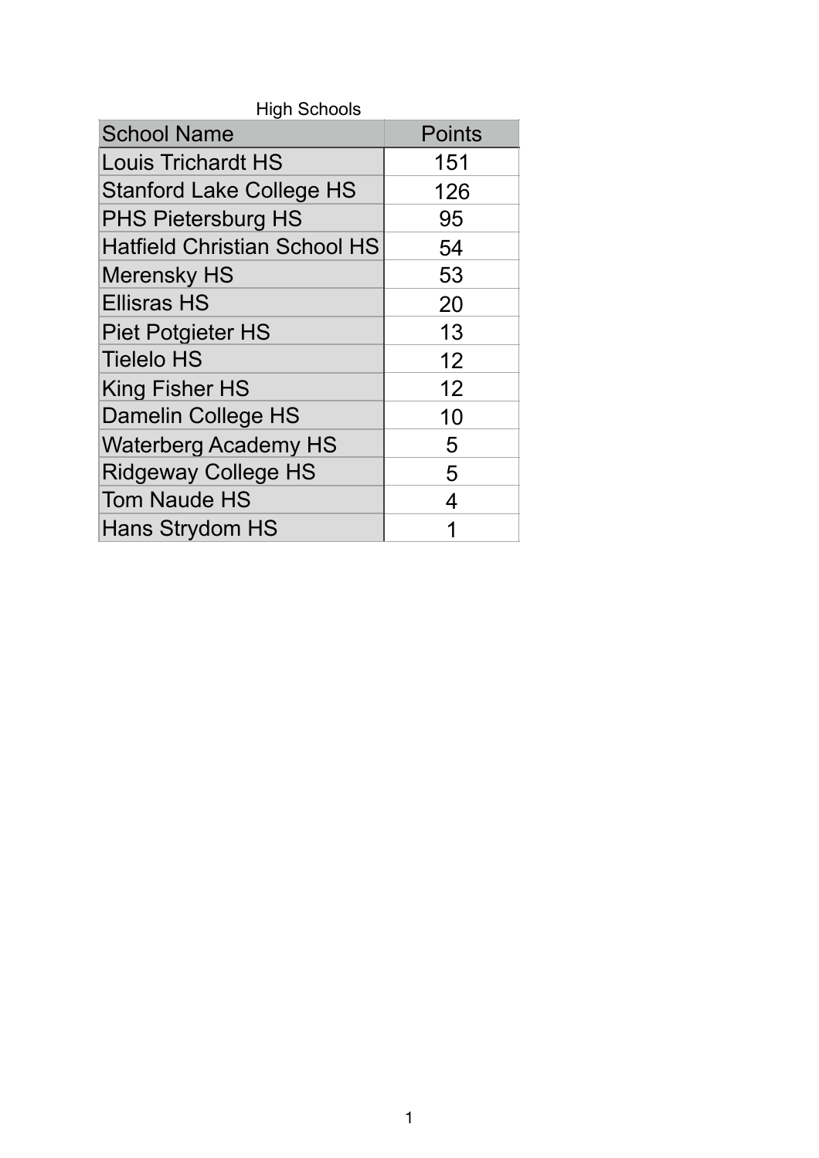| <b>School Name</b>                  | <b>Points</b> |
|-------------------------------------|---------------|
| <b>Louis Trichardt HS</b>           | 151           |
| <b>Stanford Lake College HS</b>     | 126           |
| <b>PHS Pietersburg HS</b>           | 95            |
| <b>Hatfield Christian School HS</b> | 54            |
| <b>Merensky HS</b>                  | 53            |
| <b>Ellisras HS</b>                  | 20            |
| <b>Piet Potgieter HS</b>            | 13            |
| <b>Tielelo HS</b>                   | 12            |
| <b>King Fisher HS</b>               | 12            |
| Damelin College HS                  | 10            |
| <b>Waterberg Academy HS</b>         | 5             |
| <b>Ridgeway College HS</b>          | 5             |
| <b>Tom Naude HS</b>                 | 4             |
| Hans Strydom HS                     | 1             |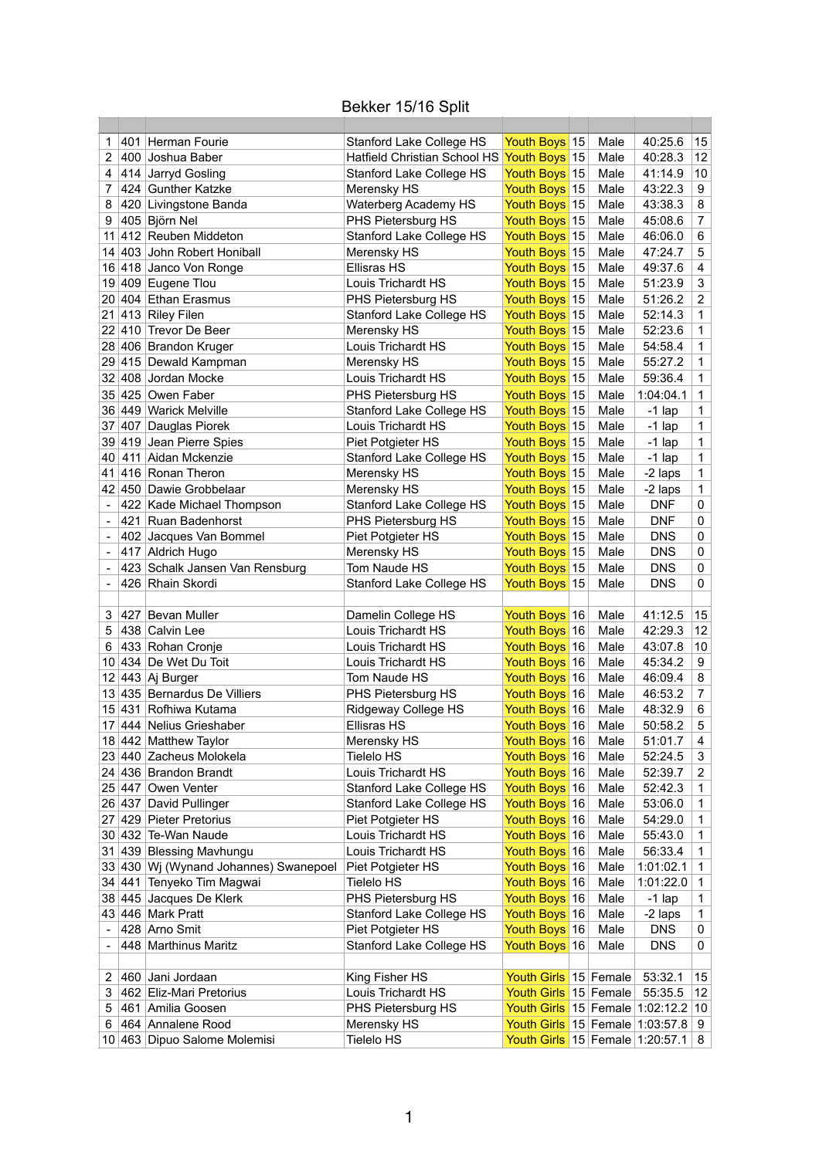## Bekker 15/16 Split

| 1  | 401 | Herman Fourie                                    | Stanford Lake College HS                 | Youth Boys 15                             | Male         | 40:25.6    | 15                      |
|----|-----|--------------------------------------------------|------------------------------------------|-------------------------------------------|--------------|------------|-------------------------|
| 2  | 400 | Joshua Baber                                     | <b>Hatfield Christian School HS</b>      | Youth Boys 15                             | Male         | 40:28.3    | 12                      |
| 4  |     | 414 Jarryd Gosling                               | Stanford Lake College HS                 | Youth Boys 15                             | Male         | 41:14.9    | 10                      |
| 7  |     | 424 Gunther Katzke                               | Merensky HS                              | Youth Boys 15                             | Male         | 43:22.3    | 9                       |
| 8  |     | 420 Livingstone Banda                            | <b>Waterberg Academy HS</b>              | Youth Boys 15                             | Male         | 43:38.3    | 8                       |
| 9  |     | 405 Björn Nel                                    | PHS Pietersburg HS                       | Youth Boys 15                             | Male         | 45:08.6    | $\overline{7}$          |
| 11 |     | 412 Reuben Middeton                              | Stanford Lake College HS                 | Youth Boys <sup>15</sup>                  | Male         | 46:06.0    | 6                       |
|    |     | 14 403 John Robert Honiball                      | Merensky HS                              | Youth Boys 15                             | Male         | 47:24.7    | 5                       |
|    |     | 16 418 Janco Von Ronge                           | <b>Ellisras HS</b>                       | Youth Boys 15                             | Male         | 49:37.6    | 4                       |
|    |     | 19 409 Eugene Tlou                               | Louis Trichardt HS                       | Youth Boys 15                             | Male         | 51:23.9    | 3                       |
|    |     | 20 404 Ethan Erasmus                             | PHS Pietersburg HS                       | Youth Boys 15                             | Male         | 51:26.2    | $\overline{2}$          |
|    |     | $21$ 413 Riley Filen                             | Stanford Lake College HS                 | Youth Boys 15                             | Male         | 52:14.3    | 1                       |
|    |     | 22 410 Trevor De Beer                            | Merensky HS                              | Youth Boys 15                             | Male         | 52:23.6    | $\mathbf{1}$            |
|    |     | 28 406 Brandon Kruger                            | Louis Trichardt HS                       | Youth Boys 15                             | Male         | 54:58.4    | 1                       |
|    |     | 29 415 Dewald Kampman                            | Merensky HS                              | Youth Boys 15                             | Male         | 55:27.2    | $\mathbf{1}$            |
|    |     | 32 408 Jordan Mocke                              | Louis Trichardt HS                       | Youth Boys 15                             | Male         | 59:36.4    | $\mathbf{1}$            |
|    |     | 35 425 Owen Faber                                | PHS Pietersburg HS                       | Youth Boys 15                             | Male         | 1:04:04.1  | 1                       |
|    |     | 36 449 Warick Melville                           | <b>Stanford Lake College HS</b>          | Youth Boys 15                             | Male         | $-1$ lap   | 1                       |
|    |     | 37 407 Dauglas Piorek                            | Louis Trichardt HS                       | Youth Boys 15                             | Male         | $-1$ lap   | 1                       |
|    |     | 39 419 Jean Pierre Spies                         | Piet Potgieter HS                        | Youth Boys 15                             | Male         | $-1$ lap   | 1                       |
|    |     | 40 411 Aidan Mckenzie                            | <b>Stanford Lake College HS</b>          | Youth Boys 15                             | Male         | $-1$ lap   | 1                       |
|    |     | 41 416 Ronan Theron                              | Merensky HS                              | Youth Boys 15                             | Male         | -2 laps    | 1                       |
|    |     | 42 450 Dawie Grobbelaar                          | Merensky HS                              | Youth Boys 15                             | Male         | -2 laps    | $\mathbf 1$             |
|    |     | 422 Kade Michael Thompson                        | Stanford Lake College HS                 | Youth Boys 15                             | Male         | <b>DNF</b> | $\mathbf 0$             |
|    |     | 421 Ruan Badenhorst                              | PHS Pietersburg HS                       | Youth Boys 15                             | Male         | <b>DNF</b> | $\mathbf 0$             |
|    |     | 402 Jacques Van Bommel                           | Piet Potgieter HS                        | Youth Boys 15                             | Male         | <b>DNS</b> | $\boldsymbol{0}$        |
|    |     | 417 Aldrich Hugo                                 | Merensky HS                              | Youth Boys 15                             | Male         | <b>DNS</b> | 0                       |
|    |     | 423 Schalk Jansen Van Rensburg                   | Tom Naude HS                             | Youth Boys <sup>15</sup>                  | Male         | <b>DNS</b> | $\mathbf 0$             |
|    |     | 426 Rhain Skordi                                 | Stanford Lake College HS                 | Youth Boys 15                             | Male         | <b>DNS</b> | 0                       |
|    |     |                                                  |                                          |                                           |              |            |                         |
| 3  | 427 | Bevan Muller                                     |                                          | Youth Boys 16                             | Male         | 41:12.5    | 15                      |
| 5  |     | 438 Calvin Lee                                   | Damelin College HS<br>Louis Trichardt HS | Youth Boys 16                             | Male         | 42:29.3    | 12                      |
| 6  |     | 433 Rohan Cronje                                 | Louis Trichardt HS                       | Youth Boys 16                             | Male         | 43:07.8    | 10                      |
|    |     | 10 434 De Wet Du Toit                            | Louis Trichardt HS                       | Youth Boys 16                             |              | 45:34.2    | 9                       |
|    |     |                                                  |                                          |                                           | Male         |            |                         |
|    |     | 12 443 Aj Burger<br>13 435 Bernardus De Villiers | Tom Naude HS<br>PHS Pietersburg HS       | Youth Boys <sup>16</sup><br>Youth Boys 16 | Male<br>Male | 46:09.4    | 8<br>$\overline{7}$     |
|    |     |                                                  |                                          |                                           |              | 46:53.2    |                         |
|    |     | 15 431 Rofhiwa Kutama                            | Ridgeway College HS                      | Youth Boys 16                             | Male         | 48:32.9    | 6                       |
|    |     | 17 444 Nelius Grieshaber                         | <b>Ellisras HS</b>                       | Youth Boys 16                             | Male<br>Male | 50:58.2    | 5                       |
|    |     | 18 442 Matthew Taylor                            | Merensky HS                              | Youth Boys 16                             |              | 51:01.7    | $\overline{\mathbf{4}}$ |
|    |     | 23 440 Zacheus Molokela                          | <b>Tielelo HS</b>                        | Youth Boys 16                             | Male         | 52:24.5    | 3                       |
|    |     | 24 436 Brandon Brandt                            | Louis Trichardt HS                       | Youth Boys 16                             | Male         | 52:39.7    | $\sqrt{2}$              |
|    |     | 25 447 Owen Venter                               | <b>Stanford Lake College HS</b>          | Youth Boys 16                             | Male         | 52:42.3    | 1                       |
|    |     | 26 437 David Pullinger                           | Stanford Lake College HS                 | Youth Boys 16                             | Male         | 53:06.0    | 1                       |
|    |     | 27 429 Pieter Pretorius                          | Piet Potgieter HS                        | Youth Boys 16                             | Male         | 54:29.0    | $\mathbf{1}$            |
|    |     | 30 432 Te-Wan Naude                              | Louis Trichardt HS                       | Youth Boys 16                             | Male         | 55:43.0    | $\mathbf{1}$            |
|    |     | 31 439 Blessing Mavhungu                         | Louis Trichardt HS                       | Youth Boys 16                             | Male         | 56:33.4    | $\mathbf{1}$            |
|    |     | 33 430 Wj (Wynand Johannes) Swanepoel            | Piet Potgieter HS                        | Youth Boys <sup>16</sup>                  | Male         | 1:01:02.1  | $\mathbf 1$             |
|    |     | 34 441 Tenyeko Tim Magwai                        | Tielelo HS                               | Youth Boys 16                             | Male         | 1:01:22.0  | $\mathbf{1}$            |
|    |     | 38 445 Jacques De Klerk                          | PHS Pietersburg HS                       | Youth Boys <sup>16</sup>                  | Male         | $-1$ lap   | $\mathbf{1}$            |
|    |     | 43 446 Mark Pratt                                | Stanford Lake College HS                 | Youth Boys 16                             | Male         | -2 laps    | $\mathbf{1}$            |
|    |     | 428 Arno Smit                                    | Piet Potgieter HS                        | Youth Boys 16                             | Male         | <b>DNS</b> | 0                       |
|    |     | 448 Marthinus Maritz                             | Stanford Lake College HS                 | Youth Boys 16                             | Male         | <b>DNS</b> | 0                       |
|    |     |                                                  |                                          |                                           |              |            |                         |
| 2  | 460 | Jani Jordaan                                     | King Fisher HS                           | Youth Girls 15 Female                     |              | 53:32.1    | 15                      |
| 3  |     | 462 Eliz-Mari Pretorius                          | Louis Trichardt HS                       | Youth Girls 15 Female                     |              | 55:35.5    | 12                      |
| 5  |     | 461 Amilia Goosen                                | PHS Pietersburg HS                       | Youth Girls $15$ Female $1:02:12.2$       |              |            | 10                      |
| 6  |     | 464 Annalene Rood                                | Merensky HS                              | Youth Girls 15 Female 1:03:57.8           |              |            | 9                       |
| 10 |     | 463 Dipuo Salome Molemisi                        | <b>Tielelo HS</b>                        | Youth Girls $15$ Female 1:20:57.1 8       |              |            |                         |